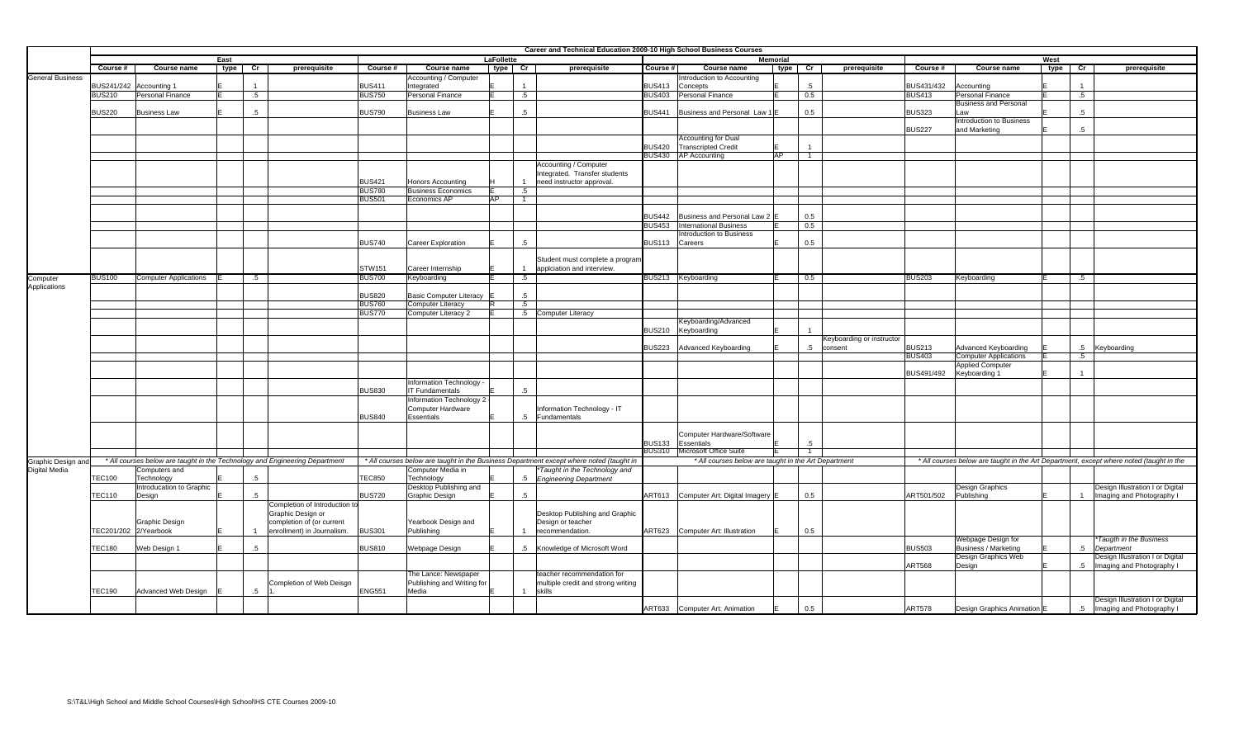|                         |               |                              |      |                                                                             |               |                                |            |                | Career and Technical Education 2009-10 High School Business Courses                     |               |                                                                |                 |                |                           |               |                                             |      |                        |                                                                                         |
|-------------------------|---------------|------------------------------|------|-----------------------------------------------------------------------------|---------------|--------------------------------|------------|----------------|-----------------------------------------------------------------------------------------|---------------|----------------------------------------------------------------|-----------------|----------------|---------------------------|---------------|---------------------------------------------|------|------------------------|-----------------------------------------------------------------------------------------|
|                         |               |                              | East |                                                                             |               |                                | LaFollette |                |                                                                                         |               |                                                                | <b>Memorial</b> |                |                           |               |                                             | West |                        |                                                                                         |
|                         | Course #      | Course name                  | type | prerequisite<br>cr                                                          | Course #      | Course name                    | type       | $\frac{1}{2}$  | prerequisite                                                                            | Course #      | Course name                                                    | type            | $\frac{1}{2}$  | prerequisite              | Course #      | <b>Course name</b>                          | type | $\overline{\text{cr}}$ | prerequisite                                                                            |
| <b>General Business</b> |               |                              |      |                                                                             |               | Accounting / Computer          |            |                |                                                                                         |               | Introduction to Accounting                                     |                 |                |                           |               |                                             |      |                        |                                                                                         |
|                         |               | BUS241/242 Accounting 1      |      | $\overline{1}$                                                              | <b>BUS411</b> | Integrated                     |            | $\overline{1}$ |                                                                                         | <b>BUS413</b> | Concepts                                                       |                 | .5             |                           | BUS431/432    | Accounting                                  |      |                        |                                                                                         |
|                         | <b>BUS210</b> | Personal Finance             |      | $.5\phantom{0}$                                                             | <b>BUS750</b> | Personal Finance               |            | .5             |                                                                                         | <b>BUS403</b> | Personal Finance                                               |                 | 0.5            |                           | <b>BUS413</b> | Personal Finance                            |      | $.5\,$                 |                                                                                         |
|                         |               |                              |      |                                                                             |               |                                |            |                |                                                                                         |               |                                                                |                 |                |                           |               | <b>Business and Personal</b>                |      |                        |                                                                                         |
|                         | <b>BUS220</b> | <b>Business Law</b>          |      | $.5\overline{ }$                                                            | <b>BUS790</b> | <b>Business Law</b>            |            | $.5\,$         |                                                                                         | <b>BUS441</b> | Business and Personal Law                                      |                 | 0.5            |                           | <b>BUS323</b> | Law                                         |      | 5 <sub>5</sub>         |                                                                                         |
|                         |               |                              |      |                                                                             |               |                                |            |                |                                                                                         |               |                                                                |                 |                |                           |               | <b>Introduction to Business</b>             |      |                        |                                                                                         |
|                         |               |                              |      |                                                                             |               |                                |            |                |                                                                                         |               |                                                                |                 |                |                           | <b>BUS227</b> | and Marketing                               |      | $.5\,$                 |                                                                                         |
|                         |               |                              |      |                                                                             |               |                                |            |                |                                                                                         |               | <b>Accounting for Dual</b>                                     |                 |                |                           |               |                                             |      |                        |                                                                                         |
|                         |               |                              |      |                                                                             |               |                                |            |                |                                                                                         | <b>BUS420</b> | <b>Transcripted Credit</b>                                     |                 | $\overline{1}$ |                           |               |                                             |      |                        |                                                                                         |
|                         |               |                              |      |                                                                             |               |                                |            |                |                                                                                         | <b>BUS430</b> | <b>AP Accounting</b>                                           | AP              | $\overline{1}$ |                           |               |                                             |      |                        |                                                                                         |
|                         |               |                              |      |                                                                             |               |                                |            |                | Accounting / Computer                                                                   |               |                                                                |                 |                |                           |               |                                             |      |                        |                                                                                         |
|                         |               |                              |      |                                                                             |               |                                |            |                | Integrated. Transfer students                                                           |               |                                                                |                 |                |                           |               |                                             |      |                        |                                                                                         |
|                         |               |                              |      |                                                                             | <b>BUS421</b> | <b>Honors Accounting</b>       |            | $\overline{1}$ | need instructor approval.                                                               |               |                                                                |                 |                |                           |               |                                             |      |                        |                                                                                         |
|                         |               |                              |      |                                                                             | <b>BUS780</b> | <b>Business Economics</b>      |            | $.5\,$         |                                                                                         |               |                                                                |                 |                |                           |               |                                             |      |                        |                                                                                         |
|                         |               |                              |      |                                                                             | <b>BUS501</b> | Economics AP                   | AP         | $\overline{1}$ |                                                                                         |               |                                                                |                 |                |                           |               |                                             |      |                        |                                                                                         |
|                         |               |                              |      |                                                                             |               |                                |            |                |                                                                                         | <b>BUS442</b> |                                                                |                 | 0.5            |                           |               |                                             |      |                        |                                                                                         |
|                         |               |                              |      |                                                                             |               |                                |            |                |                                                                                         | <b>BUS453</b> | Business and Personal Law 2 E<br><b>International Business</b> |                 | 0.5            |                           |               |                                             |      |                        |                                                                                         |
|                         |               |                              |      |                                                                             |               |                                |            |                |                                                                                         |               | Introduction to Business                                       |                 |                |                           |               |                                             |      |                        |                                                                                         |
|                         |               |                              |      |                                                                             | <b>BUS740</b> | Career Exploration             |            | .5             |                                                                                         | <b>BUS113</b> | Careers                                                        |                 | 0.5            |                           |               |                                             |      |                        |                                                                                         |
|                         |               |                              |      |                                                                             |               |                                |            |                |                                                                                         |               |                                                                |                 |                |                           |               |                                             |      |                        |                                                                                         |
|                         |               |                              |      |                                                                             |               |                                |            |                | Student must complete a program                                                         |               |                                                                |                 |                |                           |               |                                             |      |                        |                                                                                         |
|                         |               |                              |      |                                                                             | STW151        | Career Internship              |            | $\overline{1}$ | applciation and interview.                                                              |               |                                                                |                 |                |                           |               |                                             |      |                        |                                                                                         |
| Computer                | <b>BUS100</b> | <b>Computer Applications</b> |      | .5                                                                          | <b>BUS700</b> | Keyboarding                    |            | $.5\,$         |                                                                                         |               | BUS213 Keyboarding                                             | E.              | 0.5            |                           | <b>BUS203</b> | Keyboarding                                 |      | .5                     |                                                                                         |
| Applications            |               |                              |      |                                                                             |               |                                |            |                |                                                                                         |               |                                                                |                 |                |                           |               |                                             |      |                        |                                                                                         |
|                         |               |                              |      |                                                                             | <b>BUS820</b> | <b>Basic Computer Literacy</b> |            | $.5\,$         |                                                                                         |               |                                                                |                 |                |                           |               |                                             |      |                        |                                                                                         |
|                         |               |                              |      |                                                                             | <b>BUS760</b> | <b>Computer Literacy</b>       |            | .5             |                                                                                         |               |                                                                |                 |                |                           |               |                                             |      |                        |                                                                                         |
|                         |               |                              |      |                                                                             | <b>BUS770</b> | Computer Literacy 2            |            |                | .5 Computer Literacy                                                                    |               |                                                                |                 |                |                           |               |                                             |      |                        |                                                                                         |
|                         |               |                              |      |                                                                             |               |                                |            |                |                                                                                         |               | Keyboarding/Advanced                                           |                 |                |                           |               |                                             |      |                        |                                                                                         |
|                         |               |                              |      |                                                                             |               |                                |            |                |                                                                                         | <b>BUS210</b> | Keyboarding                                                    |                 |                |                           |               |                                             |      |                        |                                                                                         |
|                         |               |                              |      |                                                                             |               |                                |            |                |                                                                                         |               |                                                                |                 |                | Keyboarding or instructor |               |                                             |      |                        |                                                                                         |
|                         |               |                              |      |                                                                             |               |                                |            |                |                                                                                         | 3US223        | Advanced Keyboarding                                           |                 | $.5\,$         | consent                   | <b>BUS213</b> | Advanced Keyboarding                        |      |                        | .5 Keyboarding                                                                          |
|                         |               |                              |      |                                                                             |               |                                |            |                |                                                                                         |               |                                                                |                 |                |                           | <b>BUS403</b> | <b>Computer Applications</b>                |      | $.5\,$                 |                                                                                         |
|                         |               |                              |      |                                                                             |               |                                |            |                |                                                                                         |               |                                                                |                 |                |                           |               | <b>Applied Computer</b>                     |      |                        |                                                                                         |
|                         |               |                              |      |                                                                             |               | Information Technology -       |            |                |                                                                                         |               |                                                                |                 |                |                           | BUS491/492    | Keyboarding 1                               |      | $\overline{1}$         |                                                                                         |
|                         |               |                              |      |                                                                             | <b>BUS830</b> | <b>IT Fundamentals</b>         |            | $.5\,$         |                                                                                         |               |                                                                |                 |                |                           |               |                                             |      |                        |                                                                                         |
|                         |               |                              |      |                                                                             |               | Information Technology 2       |            |                |                                                                                         |               |                                                                |                 |                |                           |               |                                             |      |                        |                                                                                         |
|                         |               |                              |      |                                                                             |               | Computer Hardware              |            |                | Information Technology - IT                                                             |               |                                                                |                 |                |                           |               |                                             |      |                        |                                                                                         |
|                         |               |                              |      |                                                                             | <b>BUS840</b> | Essentials                     |            | $.5\,$         | Fundamentals                                                                            |               |                                                                |                 |                |                           |               |                                             |      |                        |                                                                                         |
|                         |               |                              |      |                                                                             |               |                                |            |                |                                                                                         |               |                                                                |                 |                |                           |               |                                             |      |                        |                                                                                         |
|                         |               |                              |      |                                                                             |               |                                |            |                |                                                                                         |               | Computer Hardware/Software                                     |                 |                |                           |               |                                             |      |                        |                                                                                         |
|                         |               |                              |      |                                                                             |               |                                |            |                |                                                                                         | <b>BUS133</b> | Essentials                                                     |                 | $5^{\circ}$    |                           |               |                                             |      |                        |                                                                                         |
|                         |               |                              |      |                                                                             |               |                                |            |                |                                                                                         | <b>BUS310</b> | Microsoft Office Suite                                         |                 | $\overline{1}$ |                           |               |                                             |      |                        |                                                                                         |
| Graphic Design ar       |               |                              |      | * All courses below are taught in the Technology and Engineering Department |               |                                |            |                | * All courses below are taught in the Business Department except where noted (taught in |               | * All courses below are taught in the Art Department           |                 |                |                           |               |                                             |      |                        | * All courses below are taught in the Art Department, except where noted (taught in the |
| <b>Digital Media</b>    |               | Computers and                |      |                                                                             |               | Computer Media in              |            |                | *Taught in the Technology and                                                           |               |                                                                |                 |                |                           |               |                                             |      |                        |                                                                                         |
|                         | <b>TEC100</b> | Technology                   |      | $.5\,$                                                                      | <b>TEC850</b> | Technology                     |            | $.5\,$         | <b>Engineering Department</b>                                                           |               |                                                                |                 |                |                           |               |                                             |      |                        |                                                                                         |
|                         |               | Introducation to Graphic     |      |                                                                             |               | Desktop Publishing and         |            |                |                                                                                         |               |                                                                |                 |                |                           |               | <b>Design Graphics</b>                      |      |                        | Design Illustration I or Digital                                                        |
|                         | <b>TEC110</b> | Design                       |      | $.5\,$                                                                      | <b>BUS720</b> | Graphic Design                 |            | $.5\,$         |                                                                                         |               | ART613 Computer Art: Digital Imagery E                         |                 | 0.5            |                           | ART501/502    | Publishing                                  |      |                        | 1 Imaging and Photography I                                                             |
|                         |               |                              |      | Completion of Introduction t                                                |               |                                |            |                |                                                                                         |               |                                                                |                 |                |                           |               |                                             |      |                        |                                                                                         |
|                         |               |                              |      | Graphic Design or                                                           |               |                                |            |                | Desktop Publishing and Graphic                                                          |               |                                                                |                 |                |                           |               |                                             |      |                        |                                                                                         |
|                         |               | Graphic Design               |      | completion of (or current                                                   |               | Yearbook Design and            |            |                | Design or teacher                                                                       |               |                                                                |                 |                |                           |               |                                             |      |                        |                                                                                         |
|                         |               | FEC201/202 2/Yearbook        |      | enrollment) in Journalism.                                                  | <b>BUS301</b> | Publishing                     |            | $\overline{1}$ | recommendation.                                                                         | ART623        | Computer Art: Illustration                                     |                 | 0.5            |                           |               |                                             |      |                        |                                                                                         |
|                         |               |                              |      |                                                                             |               |                                |            |                |                                                                                         |               |                                                                |                 |                |                           |               | Webpage Design for                          |      |                        | *Taugth in the Business                                                                 |
|                         | <b>TEC180</b> | Web Design 1                 |      | $.5\phantom{0}$                                                             | <b>BUS810</b> | Webpage Design                 |            |                | .5 Knowledge of Microsoft Word                                                          |               |                                                                |                 |                |                           | <b>BUS503</b> | Business / Marketing<br>Design Graphics Web |      |                        | .5 Department                                                                           |
|                         |               |                              |      |                                                                             |               |                                |            |                |                                                                                         |               |                                                                |                 |                |                           | <b>ART568</b> | Design                                      |      |                        | Design Illustration I or Digital<br>.5 Imaging and Photography I                        |
|                         |               |                              |      |                                                                             |               | The Lance: Newspaper           |            |                | teacher recommendation for                                                              |               |                                                                |                 |                |                           |               |                                             |      |                        |                                                                                         |
|                         |               |                              |      | Completion of Web Deisgn                                                    |               | Publishing and Writing for     |            |                | multiple credit and strong writing                                                      |               |                                                                |                 |                |                           |               |                                             |      |                        |                                                                                         |
|                         | <b>TEC190</b> | Advanced Web Design          |      | $.5\,$                                                                      | <b>ENG551</b> | Media                          |            | $\mathbf{1}$   | skills                                                                                  |               |                                                                |                 |                |                           |               |                                             |      |                        |                                                                                         |
|                         |               |                              |      |                                                                             |               |                                |            |                |                                                                                         |               |                                                                |                 |                |                           |               |                                             |      |                        | Design Illustration I or Digital                                                        |
|                         |               |                              |      |                                                                             |               |                                |            |                |                                                                                         |               | ART633 Computer Art: Animation                                 |                 | 0.5            |                           | <b>ART578</b> | Design Graphics Animation E                 |      |                        | .5 Imaging and Photography I                                                            |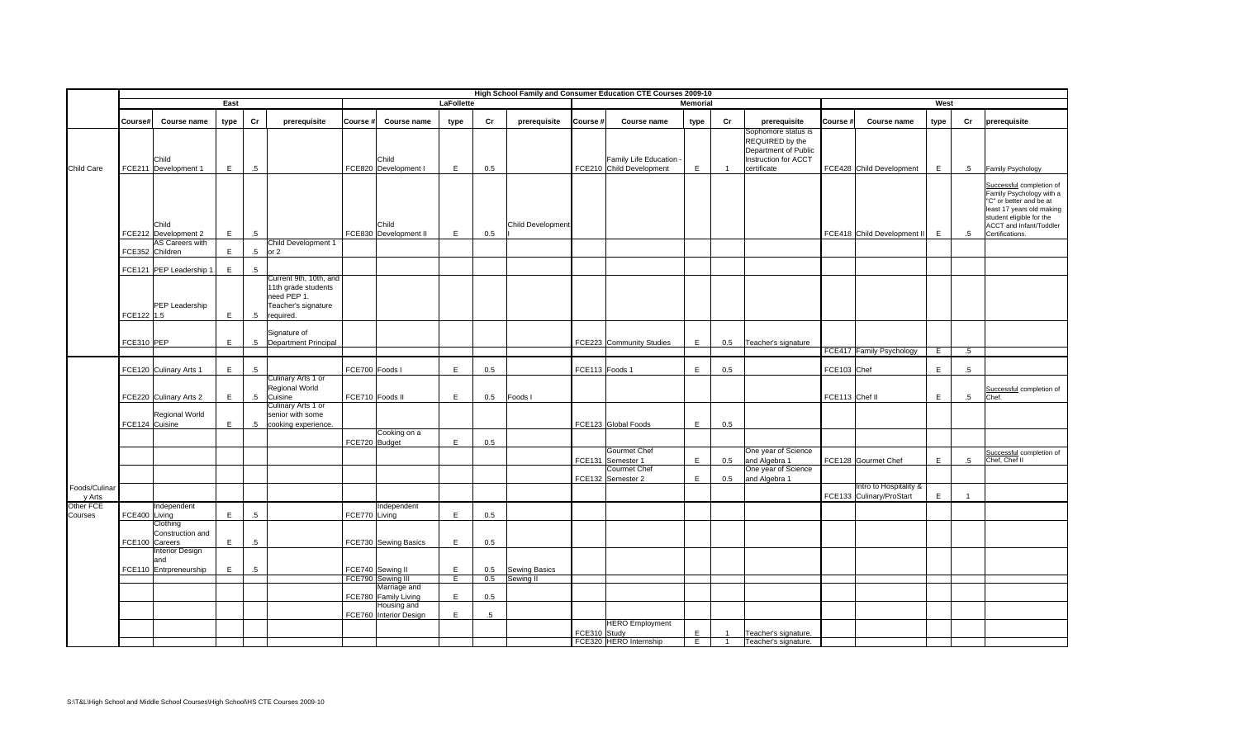|                         |               |                                                   |                |                 |                                                                                     |                 |                                       |                   |        |                            |                | High School Family and Consumer Education CTE Courses 2009-10 |                 |                |                                                                                                       |                |                                                    |             |                 |                                                                                                                                                                                        |
|-------------------------|---------------|---------------------------------------------------|----------------|-----------------|-------------------------------------------------------------------------------------|-----------------|---------------------------------------|-------------------|--------|----------------------------|----------------|---------------------------------------------------------------|-----------------|----------------|-------------------------------------------------------------------------------------------------------|----------------|----------------------------------------------------|-------------|-----------------|----------------------------------------------------------------------------------------------------------------------------------------------------------------------------------------|
|                         |               |                                                   | East           |                 |                                                                                     |                 |                                       | <b>LaFollette</b> |        |                            |                |                                                               | <b>Memorial</b> |                |                                                                                                       |                |                                                    | West        |                 |                                                                                                                                                                                        |
|                         | Course#       | Course name                                       | type           | Cr              | prerequisite                                                                        | Course #        | Course name                           | type              | Cr     | prerequisite               | Course #       | Course name                                                   | type            | Cr             | prerequisite                                                                                          | Course #       | Course name                                        | type        | Cr              | prerequisite                                                                                                                                                                           |
| Child Care              |               | Child<br>FCE211 Development 1                     | E              | $.5\phantom{0}$ |                                                                                     |                 | Child<br>FCE820 Development I         | E                 | 0.5    |                            |                | Family Life Education -<br>FCE210 Child Development           | E               | $\overline{1}$ | Sophomore status is<br>REQUIRED by the<br>Department of Public<br>Instruction for ACCT<br>certificate |                | FCE428 Child Development                           | E           | $.5\phantom{0}$ | Family Psychology                                                                                                                                                                      |
|                         |               | Child<br>FCE212 Development 2                     | E              | $.5\phantom{0}$ |                                                                                     |                 | Child<br>FCE830 Development II        | E                 | 0.5    | <b>Child Development</b>   |                |                                                               |                 |                |                                                                                                       |                | FCE418 Child Development II                        | E           | $.5\,$          | Successful completion of<br>Family Psychology with a<br>"C" or better and be at<br>least 17 years old making<br>student eligible for the<br>ACCT and Infant/Toddler<br>Certifications. |
|                         |               | <b>AS Careers with</b><br>FCE352 Children         | E              | $.5\,$          | Child Development 1<br>or 2                                                         |                 |                                       |                   |        |                            |                |                                                               |                 |                |                                                                                                       |                |                                                    |             |                 |                                                                                                                                                                                        |
|                         |               |                                                   |                |                 |                                                                                     |                 |                                       |                   |        |                            |                |                                                               |                 |                |                                                                                                       |                |                                                    |             |                 |                                                                                                                                                                                        |
|                         |               | FCE121 PEP Leadership 1<br>PEP Leadership         | E.             | $.5\,$          | Current 9th, 10th, and<br>11th grade students<br>need PEP 1.<br>Teacher's signature |                 |                                       |                   |        |                            |                |                                                               |                 |                |                                                                                                       |                |                                                    |             |                 |                                                                                                                                                                                        |
|                         | FCE122 1.5    |                                                   | $\mathsf{E}$   | $.5\phantom{0}$ | required.                                                                           |                 |                                       |                   |        |                            |                |                                                               |                 |                |                                                                                                       |                |                                                    |             |                 |                                                                                                                                                                                        |
|                         | FCE310 PEP    |                                                   | $\mathsf{E}^-$ | $.5\,$          | Signature of<br><b>Department Principal</b>                                         |                 |                                       |                   |        |                            |                | FCE223 Community Studies                                      | $\mathsf E$     | 0.5            | Teacher's signature                                                                                   |                |                                                    |             |                 |                                                                                                                                                                                        |
|                         |               |                                                   |                |                 |                                                                                     |                 |                                       |                   |        |                            |                |                                                               |                 |                |                                                                                                       |                | FCE417 Family Psychology                           | E           | .5              |                                                                                                                                                                                        |
|                         |               | FCE120 Culinary Arts 1                            | E.             | $.5\phantom{0}$ |                                                                                     | FCE700 Foods I  |                                       | E                 | 0.5    |                            | FCE113 Foods 1 |                                                               | $\mathsf E$     | 0.5            |                                                                                                       | FCE103 Chef    |                                                    | $\mathsf E$ | $.5\,$          |                                                                                                                                                                                        |
|                         |               | FCE220 Culinary Arts 2                            | E.             | $.5\,$          | Culinary Arts 1 or<br><b>Regional World</b><br>Cuisine                              | FCE710 Foods II |                                       | $\mathsf E$       | 0.5    | Foods I                    |                |                                                               |                 |                |                                                                                                       | FCE113 Chef II |                                                    | E           | $.5\,$          | Successful completion of<br>Chef.                                                                                                                                                      |
|                         |               | Regional World<br>FCE124 Cuisine                  | E              | $.5\,$          | Culinary Arts 1 or<br>senior with some<br>cooking experience.                       |                 |                                       |                   |        |                            |                | FCE123 Global Foods                                           | E               | 0.5            |                                                                                                       |                |                                                    |             |                 |                                                                                                                                                                                        |
|                         |               |                                                   |                |                 |                                                                                     | FCE720 Budget   | Cooking on a                          | $\mathsf E$       | 0.5    |                            |                |                                                               |                 |                |                                                                                                       |                |                                                    |             |                 |                                                                                                                                                                                        |
|                         |               |                                                   |                |                 |                                                                                     |                 |                                       |                   |        |                            |                | <b>Gourmet Chef</b><br>FCE131 Semester 1                      | E               | 0.5            | One year of Science<br>and Algebra 1                                                                  |                | FCE128 Gourmet Chef                                | E           | $.5\,$          | Successful completion of<br>Chef, Chef II                                                                                                                                              |
|                         |               |                                                   |                |                 |                                                                                     |                 |                                       |                   |        |                            |                | <b>Courmet Chef</b><br>FCE132 Semester 2                      | $\mathsf E$     | 0.5            | One year of Science<br>and Algebra 1                                                                  |                |                                                    |             |                 |                                                                                                                                                                                        |
| Foods/Culinar<br>y Arts |               |                                                   |                |                 |                                                                                     |                 |                                       |                   |        |                            |                |                                                               |                 |                |                                                                                                       |                | Intro to Hospitality &<br>FCE133 Culinary/ProStart | E           | $\overline{1}$  |                                                                                                                                                                                        |
| Other FCE               |               | Independent                                       |                |                 |                                                                                     |                 | Independent                           |                   |        |                            |                |                                                               |                 |                |                                                                                                       |                |                                                    |             |                 |                                                                                                                                                                                        |
| Courses                 | FCE400 Living | Clothing                                          | E              | $.5\,$          |                                                                                     | FCE770 Living   |                                       | $\mathsf E$       | 0.5    |                            |                |                                                               |                 |                |                                                                                                       |                |                                                    |             |                 |                                                                                                                                                                                        |
|                         |               | Construction and<br>FCE100 Careers                | E              | $.5\phantom{0}$ |                                                                                     |                 | FCE730 Sewing Basics                  | E                 | 0.5    |                            |                |                                                               |                 |                |                                                                                                       |                |                                                    |             |                 |                                                                                                                                                                                        |
|                         |               | Interior Design<br>land<br>FCE110 Entrpreneurship | $\mathsf{E}$   | $.5\phantom{0}$ |                                                                                     |                 | FCE740 Sewing II                      | E                 | 0.5    |                            |                |                                                               |                 |                |                                                                                                       |                |                                                    |             |                 |                                                                                                                                                                                        |
|                         |               |                                                   |                |                 |                                                                                     |                 | FCE790 Sewing III                     | E                 | 0.5    | Sewing Basics<br>Sewing II |                |                                                               |                 |                |                                                                                                       |                |                                                    |             |                 |                                                                                                                                                                                        |
|                         |               |                                                   |                |                 |                                                                                     |                 | Marriage and<br>FCE780 Family Living  | E                 | 0.5    |                            |                |                                                               |                 |                |                                                                                                       |                |                                                    |             |                 |                                                                                                                                                                                        |
|                         |               |                                                   |                |                 |                                                                                     |                 | Housing and<br>FCE760 Interior Design | E                 | $.5\,$ |                            |                |                                                               |                 |                |                                                                                                       |                |                                                    |             |                 |                                                                                                                                                                                        |
|                         |               |                                                   |                |                 |                                                                                     |                 |                                       |                   |        |                            | FCE310 Study   | <b>HERO</b> Employment                                        | E               | $\mathbf{1}$   | Teacher's signature.                                                                                  |                |                                                    |             |                 |                                                                                                                                                                                        |
|                         |               |                                                   |                |                 |                                                                                     |                 |                                       |                   |        |                            |                | FCE320 HERO Internship                                        | E               | $\mathbf{1}$   | Teacher's signature.                                                                                  |                |                                                    |             |                 |                                                                                                                                                                                        |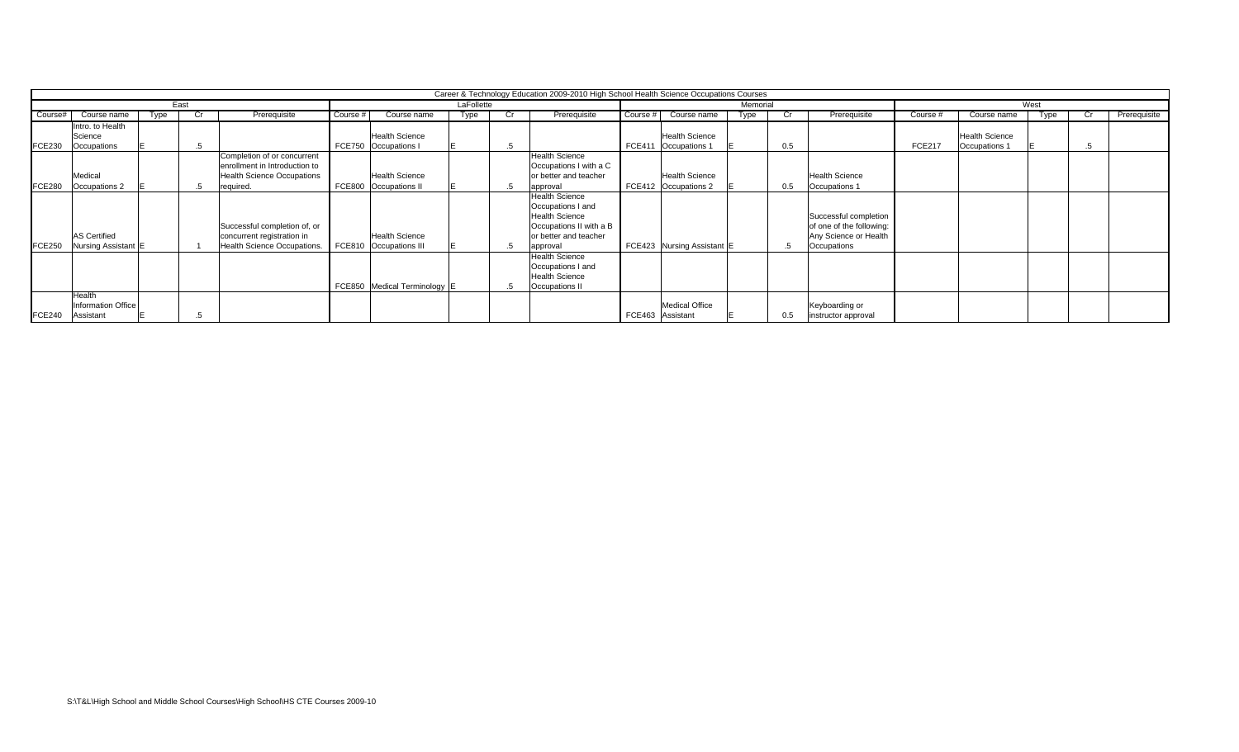|                  |                     |     |      |                                    |               |                              |            | Career & Technology Education 2009-2010 High School Health Science Occupations Courses |          |                            |          |     |                          |               |                       |      |    |              |
|------------------|---------------------|-----|------|------------------------------------|---------------|------------------------------|------------|----------------------------------------------------------------------------------------|----------|----------------------------|----------|-----|--------------------------|---------------|-----------------------|------|----|--------------|
|                  |                     |     | East |                                    |               |                              | LaFollette |                                                                                        |          |                            | Memorial |     |                          |               |                       | West |    |              |
| Course#          | Course name         | vpe |      | Prerequisite                       | Course #      | Course name                  | Type       | Prerequisite                                                                           | Course # | Course name                | Type     |     | Prerequisite             | Course #      | Course name           | vpe  |    | Prerequisite |
|                  | Intro. to Health    |     |      |                                    |               |                              |            |                                                                                        |          |                            |          |     |                          |               |                       |      |    |              |
|                  | Science             |     |      |                                    |               | <b>Health Science</b>        |            |                                                                                        |          | <b>Health Science</b>      |          |     |                          |               | <b>Health Science</b> |      |    |              |
| <b>FCE230</b>    | Occupations         |     | .5   |                                    | <b>FCE750</b> | Occupations I                |            |                                                                                        |          | FCE411 Occupations 1       |          | 0.5 |                          | <b>FCE217</b> | Occupations 1         |      | .5 |              |
|                  |                     |     |      | Completion of or concurrent        |               |                              |            | <b>Health Science</b>                                                                  |          |                            |          |     |                          |               |                       |      |    |              |
|                  |                     |     |      | enrollment in Introduction to      |               |                              |            | Occupations I with a C                                                                 |          |                            |          |     |                          |               |                       |      |    |              |
|                  | Medical             |     |      | <b>Health Science Occupations</b>  |               | <b>Health Science</b>        |            | or better and teacher                                                                  |          | <b>Health Science</b>      |          |     | <b>Health Science</b>    |               |                       |      |    |              |
| <b>FCE280</b>    | Occupations 2       |     | .5   | required.                          | <b>FCE800</b> | Occupations II               |            | approval                                                                               |          | FCE412 Occupations 2       |          | 0.5 | Occupations 1            |               |                       |      |    |              |
|                  |                     |     |      |                                    |               |                              |            | <b>Health Science</b>                                                                  |          |                            |          |     |                          |               |                       |      |    |              |
|                  |                     |     |      |                                    |               |                              |            | Occupations I and                                                                      |          |                            |          |     |                          |               |                       |      |    |              |
|                  |                     |     |      |                                    |               |                              |            | <b>Health Science</b>                                                                  |          |                            |          |     | Successful completion    |               |                       |      |    |              |
|                  |                     |     |      | Successful completion of, or       |               |                              |            | Occupations II with a B                                                                |          |                            |          |     | of one of the following: |               |                       |      |    |              |
|                  | <b>AS Certified</b> |     |      | concurrent registration in         |               | <b>Health Science</b>        |            | or better and teacher                                                                  |          |                            |          |     | Any Science or Health    |               |                       |      |    |              |
| <b>FCE250</b>    | Nursing Assistant   |     |      | <b>Health Science Occupations.</b> | <b>FCE810</b> | Occupations III              |            | approval                                                                               |          | FCE423 Nursing Assistant E |          |     | Occupations              |               |                       |      |    |              |
|                  |                     |     |      |                                    |               |                              |            | <b>Health Science</b>                                                                  |          |                            |          |     |                          |               |                       |      |    |              |
|                  |                     |     |      |                                    |               |                              |            | Occupations I and                                                                      |          |                            |          |     |                          |               |                       |      |    |              |
|                  |                     |     |      |                                    |               |                              |            | <b>Health Science</b>                                                                  |          |                            |          |     |                          |               |                       |      |    |              |
|                  |                     |     |      |                                    |               | FCE850 Medical Terminology E |            | Occupations II                                                                         |          |                            |          |     |                          |               |                       |      |    |              |
|                  | Health              |     |      |                                    |               |                              |            |                                                                                        |          |                            |          |     |                          |               |                       |      |    |              |
|                  | Information Office  |     |      |                                    |               |                              |            |                                                                                        |          | <b>Medical Office</b>      |          |     | Keyboarding or           |               |                       |      |    |              |
| FCE240 Assistant |                     |     |      |                                    |               |                              |            |                                                                                        |          | FCE463 Assistant           |          | 0.5 | instructor approval      |               |                       |      |    |              |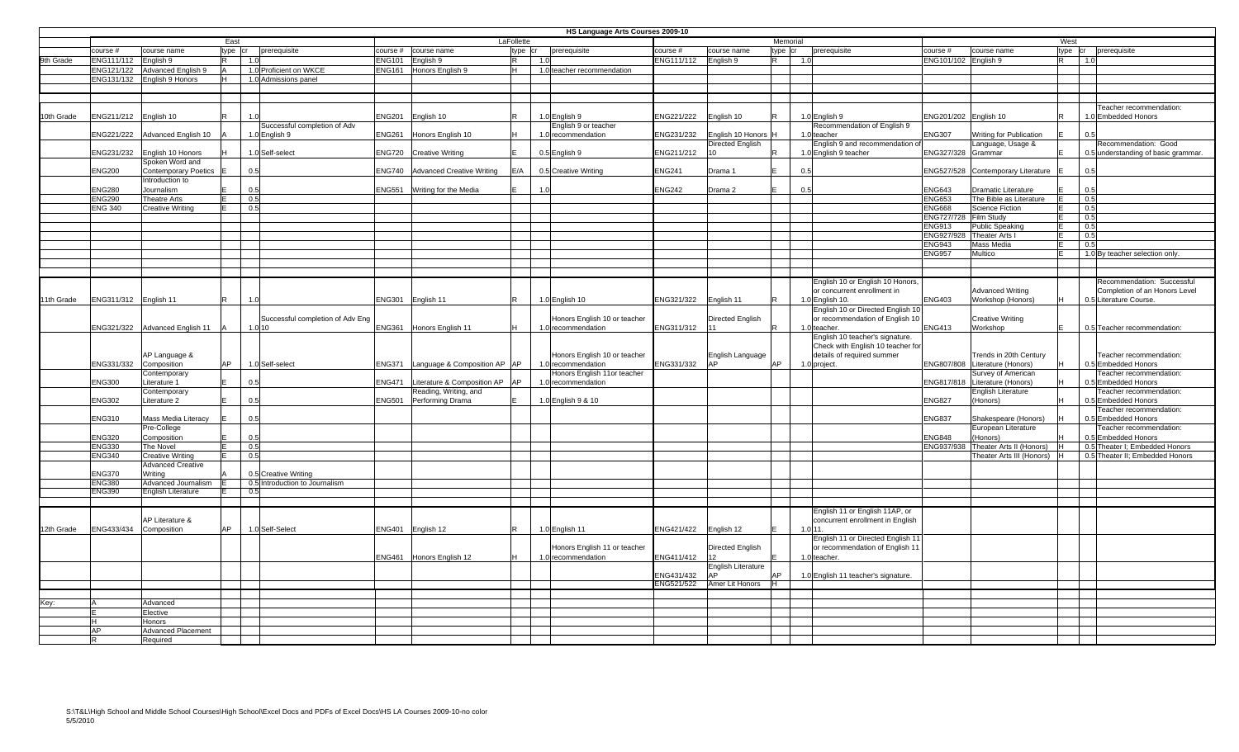|            |                       |                             |           |     |                                            |               |                                     |            | HS Language Arts Courses 2009-10 |                       |                                    |          |                                                 |                      |                                     |         |                                     |
|------------|-----------------------|-----------------------------|-----------|-----|--------------------------------------------|---------------|-------------------------------------|------------|----------------------------------|-----------------------|------------------------------------|----------|-------------------------------------------------|----------------------|-------------------------------------|---------|-------------------------------------|
|            |                       |                             | East      |     |                                            |               |                                     | LaFollette |                                  |                       |                                    | Memorial |                                                 |                      |                                     | West    |                                     |
|            | course#               | course name                 | type cr   |     | prerequisite                               |               | course # course name                | type cr    | prerequisite                     | course#               | course name                        | type cr  | prerequisite                                    | course#              | course name                         | type cr | prerequisite                        |
| 9th Grade  | ENG111/112            | English 9                   | R.        | 1.0 |                                            |               | NG101 English 9                     | lR.<br>1.0 |                                  | ENG111/112            | English 9                          | R.       | 1.0                                             | ENG101/102 English 9 |                                     | R       | 1.0                                 |
|            | ENG121/122            | Advanced English 9          | lA.       |     | 1.0 Proficient on WKCE                     |               | ENG161 Honors English 9             | lн.        | 1.0 teacher recommendation       |                       |                                    |          |                                                 |                      |                                     |         |                                     |
|            |                       | ENG131/132 English 9 Honors | lH –      |     | 1.0 Admissions panel                       |               |                                     |            |                                  |                       |                                    |          |                                                 |                      |                                     |         |                                     |
|            |                       |                             |           |     |                                            |               |                                     |            |                                  |                       |                                    |          |                                                 |                      |                                     |         |                                     |
|            |                       |                             |           |     |                                            |               |                                     |            |                                  |                       |                                    |          |                                                 |                      |                                     |         |                                     |
|            |                       |                             |           |     |                                            |               |                                     |            |                                  |                       |                                    |          |                                                 |                      |                                     |         | Teacher recommendation:             |
| 10th Grade | NG211/212 English 10  |                             |           | 1.0 |                                            |               | ENG201 English 10                   |            | 1.0 English 9                    | ENG221/222            | English 10                         |          | 1.0 English 9                                   |                      | ENG201/202 English 10               | R       | 1.0 Embedded Honors                 |
|            |                       |                             |           |     | Successful completion of Adv               |               |                                     |            | English 9 or teacher             |                       |                                    |          | Recommendation of English 9                     |                      |                                     |         |                                     |
|            | ENG221/222            | Advanced English 10         |           |     | 1.0 English 9                              |               | ENG261 Honors English 10            |            | 1.0 recommendation               | NG231/232             | English 10 Honors                  |          | 1.0 teacher                                     | NG307                | Writing for Publication             |         | 0.5                                 |
|            |                       |                             |           |     |                                            |               |                                     |            |                                  |                       | Directed English                   |          | English 9 and recommendation                    |                      | Language, Usage &                   |         | Recommendation: Good                |
|            | ENG231/232            | English 10 Honors           |           |     | 1.0 Self-select                            |               | ENG720 Creative Writing             |            | 0.5 English 9                    | ENG211/212            | $10-1$                             |          | 1.0 English 9 teacher                           | ENG327/328           | Grammar                             |         | 0.5 understanding of basic grammar. |
|            |                       | Spoken Word and             |           |     |                                            |               |                                     |            |                                  |                       |                                    |          |                                                 |                      |                                     |         |                                     |
|            | ENG200                | <b>Contemporary Poetics</b> | IF.       | 0.5 |                                            |               | ENG740 Advanced Creative Writing    | E/A        | 0.5 Creative Writing             | <b>ENG241</b>         | Drama 1                            |          | 0.5                                             | ENG527/528           | Contemporary Literature             |         | 0.5                                 |
|            |                       | Introduction to             |           |     |                                            |               |                                     |            |                                  |                       |                                    |          |                                                 |                      |                                     |         |                                     |
|            | ENG280                | Journalism                  |           | 0.5 |                                            | ENG551        | Writing for the Media               | 1.0        |                                  | <b>ENG242</b>         | Drama 2                            |          | 0.5                                             | <b>ENG643</b>        | Dramatic Literature                 |         | 0.5                                 |
|            | ENG290                | <b>Theatre Arts</b>         | E.        | 0.5 |                                            |               |                                     |            |                                  |                       |                                    |          |                                                 | ENG653               | The Bible as Literature             | E.      | 0.5                                 |
|            | <b>ENG 340</b>        | <b>Creative Writing</b>     | E.        | 0.5 |                                            |               |                                     |            |                                  |                       |                                    |          |                                                 | <b>ENG668</b>        | Science Fiction                     |         | 0.5                                 |
|            |                       |                             |           |     |                                            |               |                                     |            |                                  |                       |                                    |          |                                                 | ENG727/728           | Film Study                          | E       | 0.5                                 |
|            |                       |                             |           |     |                                            |               |                                     |            |                                  |                       |                                    |          |                                                 | ENG913               | <b>Public Speaking</b>              | F.      | 0.5                                 |
|            |                       |                             |           |     |                                            |               |                                     |            |                                  |                       |                                    |          |                                                 | ENG927/928           | Theater Arts I                      | E       | 0.5                                 |
|            |                       |                             |           |     |                                            |               |                                     |            |                                  |                       |                                    |          |                                                 | <b>ENG943</b>        | Mass Media                          | F.      | 0.5                                 |
|            |                       |                             |           |     |                                            |               |                                     |            |                                  |                       |                                    |          |                                                 | <b>ENG957</b>        | Multico                             |         | 1.0 By teacher selection only.      |
|            |                       |                             |           |     |                                            |               |                                     |            |                                  |                       |                                    |          |                                                 |                      |                                     |         |                                     |
|            |                       |                             |           |     |                                            |               |                                     |            |                                  |                       |                                    |          |                                                 |                      |                                     |         |                                     |
|            |                       |                             |           |     |                                            |               |                                     |            |                                  |                       |                                    |          | English 10 or English 10 Honors                 |                      |                                     |         | Recommendation: Successful          |
|            |                       |                             |           |     |                                            |               |                                     |            |                                  |                       |                                    |          | or concurrent enrollment in                     |                      | <b>Advanced Writing</b>             |         | Completion of an Honors Level       |
| 11th Grade | ENG311/312 English 11 |                             | R         | 1.0 |                                            |               | ENG301 English 11                   |            | 1.0 English 10                   | ENG321/322 English 11 |                                    |          | 1.0 English 10.                                 | ENG403               | Workshop (Honors)                   |         | 0.5 Literature Course.              |
|            |                       |                             |           |     |                                            |               |                                     |            | Honors English 10 or teacher     |                       |                                    |          | English 10 or Directed English 1                |                      |                                     |         |                                     |
|            | ENG321/322            | Advanced English 11         |           |     | Successful completion of Adv Eng<br>1.0 10 |               | ENG361 Honors English 11            |            | 1.0 recommendation               | ENG311/312            | Directed English                   |          | or recommendation of English 10<br>1.0 teacher. | <b>ENG413</b>        | <b>Creative Writing</b><br>Workshop |         | 0.5 Teacher recommendation:         |
|            |                       |                             |           |     |                                            |               |                                     |            |                                  |                       |                                    |          | English 10 teacher's signature.                 |                      |                                     |         |                                     |
|            |                       |                             |           |     |                                            |               |                                     |            |                                  |                       |                                    |          | Check with English 10 teacher for               |                      |                                     |         |                                     |
|            |                       | AP Language &               |           |     |                                            |               |                                     |            | Honors English 10 or teacher     |                       |                                    |          | details of required summer                      |                      | Trends in 20th Century              |         | Teacher recommendation:             |
|            | ENG331/332            | Composition                 | AP        |     | 1.0 Self-select                            |               | ENG371 Language & Composition AP AP |            | 1.0 recommendation               | ENG331/332            | English Language<br>AP <sup></sup> | AP       | 1.0 project.                                    | ENG807/808           | Literature (Honors)                 |         | 0.5 Embedded Honors                 |
|            |                       | Contemporary                |           |     |                                            |               |                                     |            | Honors English 11or teacher      |                       |                                    |          |                                                 |                      | Survey of American                  |         | Teacher recommendation:             |
|            | ENG300                | Literature 1                |           | 0.5 |                                            | <b>ENG471</b> | Literature & Composition AP AP      |            | 1.0 recommendation               |                       |                                    |          |                                                 | ENG817/818           | Literature (Honors)                 |         | 0.5 Embedded Honors                 |
|            |                       | Contemporary                |           |     |                                            |               | Reading, Writing, and               |            |                                  |                       |                                    |          |                                                 |                      | <b>English Literature</b>           |         | Teacher recommendation:             |
|            | ENG302                | Literature 2                |           | 0.5 |                                            | <b>ENG501</b> | Performing Drama                    |            | 1.0 English 9 & 10               |                       |                                    |          |                                                 | ENG827               | (Honors)                            |         | 0.5 Embedded Honors                 |
|            |                       |                             |           |     |                                            |               |                                     |            |                                  |                       |                                    |          |                                                 |                      |                                     |         | Teacher recommendation:             |
|            | NG310                 | Mass Media Literacy         |           | 0.5 |                                            |               |                                     |            |                                  |                       |                                    |          |                                                 | <b>ENG837</b>        | Shakespeare (Honors)                |         | 0.5 Embedded Honors                 |
|            |                       | Pre-College                 |           |     |                                            |               |                                     |            |                                  |                       |                                    |          |                                                 |                      | European Literature                 |         | Teacher recommendation:             |
|            | ENG320                | Composition                 |           | 0.5 |                                            |               |                                     |            |                                  |                       |                                    |          |                                                 | <b>ENG848</b>        | (Honors)                            |         | 0.5 Embedded Honors                 |
|            | ENG330                | The Novel                   |           | 0.5 |                                            |               |                                     |            |                                  |                       |                                    |          |                                                 | ENG937/938           | Theater Arts II (Honors)            | H       | 0.5 Theater I; Embedded Honors      |
|            | ENG340                | <b>Creative Writing</b>     | E         | 0.5 |                                            |               |                                     |            |                                  |                       |                                    |          |                                                 |                      | Theater Arts III (Honors)           | Iн.     | 0.5 Theater II; Embedded Honors     |
|            |                       | <b>Advanced Creative</b>    |           |     |                                            |               |                                     |            |                                  |                       |                                    |          |                                                 |                      |                                     |         |                                     |
|            | ENG370                | Writing                     |           |     | 0.5 Creative Writing                       |               |                                     |            |                                  |                       |                                    |          |                                                 |                      |                                     |         |                                     |
|            | ENG380                | Advanced Journalism         |           |     | 0.5 Introduction to Journalism             |               |                                     |            |                                  |                       |                                    |          |                                                 |                      |                                     |         |                                     |
|            | ENG390                | <b>English Literature</b>   |           | 0.5 |                                            |               |                                     |            |                                  |                       |                                    |          |                                                 |                      |                                     |         |                                     |
|            |                       |                             |           |     |                                            |               |                                     |            |                                  |                       |                                    |          |                                                 |                      |                                     |         |                                     |
|            |                       |                             |           |     |                                            |               |                                     |            |                                  |                       |                                    |          | English 11 or English 11AP, or                  |                      |                                     |         |                                     |
|            |                       | AP Literature &             |           |     |                                            |               |                                     |            |                                  |                       |                                    |          | concurrent enrollment in English                |                      |                                     |         |                                     |
| 12th Grade | ENG433/434            | Composition                 | <b>AP</b> |     | 1.0 Self-Select                            |               | ENG401 English 12                   |            | 1.0 English 11                   | ENG421/422 English 12 |                                    |          | 1.0111                                          |                      |                                     |         |                                     |
|            |                       |                             |           |     |                                            |               |                                     |            |                                  |                       |                                    |          | English 11 or Directed English 11               |                      |                                     |         |                                     |
|            |                       |                             |           |     |                                            |               |                                     |            | Honors English 11 or teacher     |                       | Directed English                   |          | or recommendation of English 1                  |                      |                                     |         |                                     |
|            |                       |                             |           |     |                                            |               | ENG461 Honors English 12            |            | 1.0 recommendation               | ENG411/412            | 12 <sup>2</sup>                    |          | 1.0 teacher.                                    |                      |                                     |         |                                     |
|            |                       |                             |           |     |                                            |               |                                     |            |                                  |                       | English Literature                 |          |                                                 |                      |                                     |         |                                     |
|            |                       |                             |           |     |                                            |               |                                     |            |                                  | ENG431/432            | AP <sup></sup>                     | AP       | 1.0 English 11 teacher's signature.             |                      |                                     |         |                                     |
|            |                       |                             |           |     |                                            |               |                                     |            |                                  | ENG521/522            | Amer Lit Honors                    |          |                                                 |                      |                                     |         |                                     |
|            |                       |                             |           |     |                                            |               |                                     |            |                                  |                       |                                    |          |                                                 |                      |                                     |         |                                     |
| Key:       |                       | Advanced                    |           |     |                                            |               |                                     |            |                                  |                       |                                    |          |                                                 |                      |                                     |         |                                     |
|            |                       | Elective                    |           |     |                                            |               |                                     |            |                                  |                       |                                    |          |                                                 |                      |                                     |         |                                     |
|            |                       | Honors                      |           |     |                                            |               |                                     |            |                                  |                       |                                    |          |                                                 |                      |                                     |         |                                     |
|            | ΔD                    | <b>Advanced Placement</b>   |           |     |                                            |               |                                     |            |                                  |                       |                                    |          |                                                 |                      |                                     |         |                                     |
|            |                       | Required                    |           |     |                                            |               |                                     |            |                                  |                       |                                    |          |                                                 |                      |                                     |         |                                     |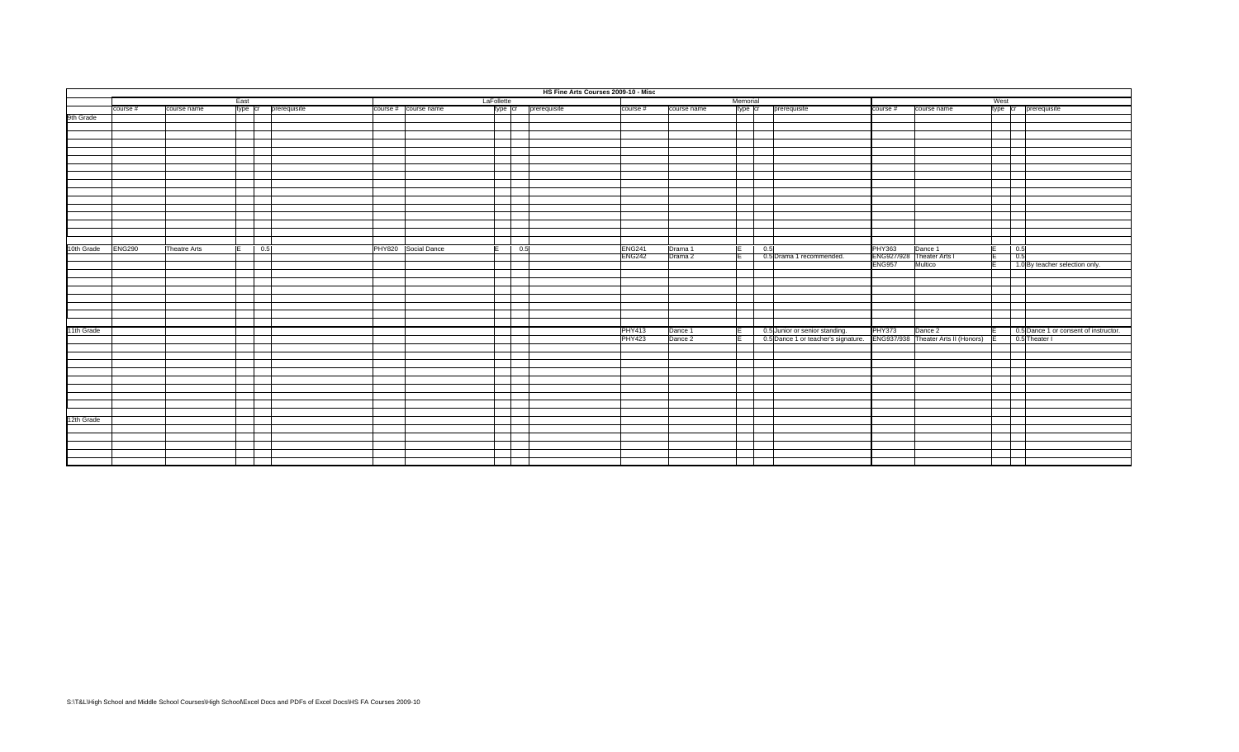|            |               |                     |            |                      |                      |            | HS Fine Arts Courses 2009-10 - Misc |                      |               |             |          |     |                                     |               |                                     |      |                                       |
|------------|---------------|---------------------|------------|----------------------|----------------------|------------|-------------------------------------|----------------------|---------------|-------------|----------|-----|-------------------------------------|---------------|-------------------------------------|------|---------------------------------------|
|            |               |                     | East       |                      |                      | LaFollette |                                     |                      |               |             | Memorial |     |                                     |               |                                     | West |                                       |
|            | course #      | course name         |            | type cr prerequisite | course # course name |            |                                     | type cr prerequisite | course #      | course name | type cr  |     | prerequisite                        | course #      | course name                         |      | type cr prerequisite                  |
| 9th Grade  |               |                     |            |                      |                      |            |                                     |                      |               |             |          |     |                                     |               |                                     |      |                                       |
|            |               |                     |            |                      |                      |            |                                     |                      |               |             |          |     |                                     |               |                                     |      |                                       |
|            |               |                     |            |                      |                      |            |                                     |                      |               |             |          |     |                                     |               |                                     |      |                                       |
|            |               |                     |            |                      |                      |            |                                     |                      |               |             |          |     |                                     |               |                                     |      |                                       |
|            |               |                     |            |                      |                      |            |                                     |                      |               |             |          |     |                                     |               |                                     |      |                                       |
|            |               |                     |            |                      |                      |            |                                     |                      |               |             |          |     |                                     |               |                                     |      |                                       |
|            |               |                     |            |                      |                      |            |                                     |                      |               |             |          |     |                                     |               |                                     |      |                                       |
|            |               |                     |            |                      |                      |            |                                     |                      |               |             |          |     |                                     |               |                                     |      |                                       |
|            |               |                     |            |                      |                      |            |                                     |                      |               |             |          |     |                                     |               |                                     |      |                                       |
|            |               |                     |            |                      |                      |            |                                     |                      |               |             |          |     |                                     |               |                                     |      |                                       |
|            |               |                     |            |                      |                      |            |                                     |                      |               |             |          |     |                                     |               |                                     |      |                                       |
|            |               |                     |            |                      |                      |            |                                     |                      |               |             |          |     |                                     |               |                                     |      |                                       |
|            |               |                     |            |                      |                      |            |                                     |                      |               |             |          |     |                                     |               |                                     |      |                                       |
|            |               |                     |            |                      |                      |            |                                     |                      |               |             |          |     |                                     |               |                                     |      |                                       |
|            |               |                     |            |                      |                      |            |                                     |                      |               |             |          |     |                                     |               |                                     |      |                                       |
|            |               |                     |            |                      |                      |            |                                     |                      |               |             |          |     |                                     |               |                                     |      |                                       |
| 10th Grade | <b>ENG290</b> | <b>Theatre Arts</b> | 0.5<br>IE. |                      | PHY820 Social Dance  | E          | 0.5                                 |                      | <b>ENG241</b> | Drama 1     | E        | 0.5 |                                     | <b>PHY363</b> | Dance 1                             |      | 0.5                                   |
|            |               |                     |            |                      |                      |            |                                     |                      | <b>ENG242</b> | Drama 2     | ΤE       |     | 0.5 Drama 1 recommended.            |               | ENG927/928 Theater Arts I           |      | 0.5                                   |
|            |               |                     |            |                      |                      |            |                                     |                      |               |             |          |     |                                     | <b>ENG957</b> | Multico                             |      | 1.0 By teacher selection only.        |
|            |               |                     |            |                      |                      |            |                                     |                      |               |             |          |     |                                     |               |                                     |      |                                       |
|            |               |                     |            |                      |                      |            |                                     |                      |               |             |          |     |                                     |               |                                     |      |                                       |
|            |               |                     |            |                      |                      |            |                                     |                      |               |             |          |     |                                     |               |                                     |      |                                       |
|            |               |                     |            |                      |                      |            |                                     |                      |               |             |          |     |                                     |               |                                     |      |                                       |
|            |               |                     |            |                      |                      |            |                                     |                      |               |             |          |     |                                     |               |                                     |      |                                       |
|            |               |                     |            |                      |                      |            |                                     |                      |               |             |          |     |                                     |               |                                     |      |                                       |
|            |               |                     |            |                      |                      |            |                                     |                      |               |             |          |     |                                     |               |                                     |      |                                       |
| 11th Grade |               |                     |            |                      |                      |            |                                     |                      | <b>PHY413</b> | Dance 1     | E        |     | 0.5 Junior or senior standing.      | <b>PHY373</b> | Dance 2                             |      | 0.5 Dance 1 or consent of instructor. |
|            |               |                     |            |                      |                      |            |                                     |                      | <b>PHY423</b> | Dance 2     | ΤEΤ      |     | 0.5 Dance 1 or teacher's signature. |               | ENG937/938 Theater Arts II (Honors) |      | 0.5 Theater I                         |
|            |               |                     |            |                      |                      |            |                                     |                      |               |             |          |     |                                     |               |                                     |      |                                       |
|            |               |                     |            |                      |                      |            |                                     |                      |               |             |          |     |                                     |               |                                     |      |                                       |
|            |               |                     |            |                      |                      |            |                                     |                      |               |             |          |     |                                     |               |                                     |      |                                       |
|            |               |                     |            |                      |                      |            |                                     |                      |               |             |          |     |                                     |               |                                     |      |                                       |
|            |               |                     |            |                      |                      |            |                                     |                      |               |             |          |     |                                     |               |                                     |      |                                       |
|            |               |                     |            |                      |                      |            |                                     |                      |               |             |          |     |                                     |               |                                     |      |                                       |
|            |               |                     |            |                      |                      |            |                                     |                      |               |             |          |     |                                     |               |                                     |      |                                       |
|            |               |                     |            |                      |                      |            |                                     |                      |               |             |          |     |                                     |               |                                     |      |                                       |
|            |               |                     |            |                      |                      |            |                                     |                      |               |             |          |     |                                     |               |                                     |      |                                       |
| 12th Grade |               |                     |            |                      |                      |            |                                     |                      |               |             |          |     |                                     |               |                                     |      |                                       |
|            |               |                     |            |                      |                      |            |                                     |                      |               |             |          |     |                                     |               |                                     |      |                                       |
|            |               |                     |            |                      |                      |            |                                     |                      |               |             |          |     |                                     |               |                                     |      |                                       |
|            |               |                     |            |                      |                      |            |                                     |                      |               |             |          |     |                                     |               |                                     |      |                                       |
|            |               |                     |            |                      |                      |            |                                     |                      |               |             |          |     |                                     |               |                                     |      |                                       |
|            |               |                     |            |                      |                      |            |                                     |                      |               |             |          |     |                                     |               |                                     |      |                                       |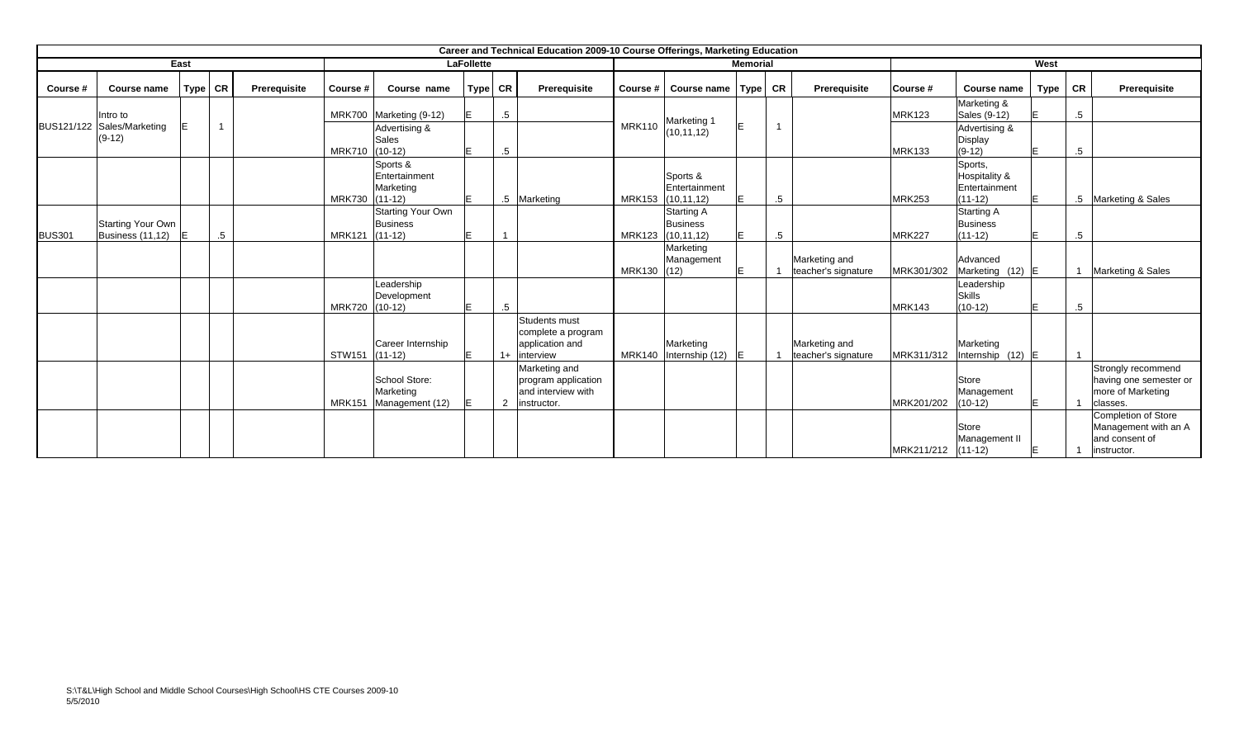|               |                                        |           |                |              |               |                                                   |                   |        | Career and Technical Education 2009-10 Course Offerings, Marketing Education |               |                                                      |                 |                    |                     |               |                                            |             |        |                                                                           |
|---------------|----------------------------------------|-----------|----------------|--------------|---------------|---------------------------------------------------|-------------------|--------|------------------------------------------------------------------------------|---------------|------------------------------------------------------|-----------------|--------------------|---------------------|---------------|--------------------------------------------|-------------|--------|---------------------------------------------------------------------------|
|               |                                        | East      |                |              |               |                                                   | <b>LaFollette</b> |        |                                                                              |               |                                                      | <b>Memorial</b> |                    |                     |               |                                            | West        |        |                                                                           |
| Course #      | Course name                            | Type CR   |                | Prerequisite | Course #      | Course name                                       | Type CR           |        | Prerequisite                                                                 | Course #      | Course name   Type   CR                              |                 |                    | Prerequisite        | Course #      | Course name                                | Type        | CR     | Prerequisite                                                              |
|               | Intro to                               |           |                |              |               | MRK700 Marketing (9-12)                           | E                 | $.5\,$ |                                                                              |               | Marketing 1                                          |                 |                    |                     | <b>MRK123</b> | Marketing &<br>Sales (9-12)                | F.          | $.5\,$ |                                                                           |
|               | BUS121/122 Sales/Marketing<br>$(9-12)$ |           | $\overline{1}$ |              |               | Advertising &<br>Sales                            |                   |        |                                                                              | <b>MRK110</b> | (10, 11, 12)                                         | F               |                    |                     |               | Advertising &<br>Display                   |             |        |                                                                           |
|               |                                        |           |                |              | <b>MRK710</b> | $(10-12)$<br>Sports &<br>Entertainment            | IE.               | $.5\,$ |                                                                              |               | Sports &                                             |                 |                    |                     | <b>MRK133</b> | $(9-12)$<br>Sports,<br>Hospitality &       | E.          | .5     |                                                                           |
|               |                                        |           |                |              | <b>MRK730</b> | Marketing<br>$(11-12)$                            | lE.               |        | .5 Marketing                                                                 | <b>MRK153</b> | Entertainment<br>(10, 11, 12)                        | ΙE              | $.5\,$             |                     | <b>MRK253</b> | Entertainment<br>$(11-12)$                 | E.          | $.5\,$ | <b>Marketing &amp; Sales</b>                                              |
| <b>BUS301</b> | Starting Your Own<br>Business (11,12)  | <b>IE</b> | $.5\,$         |              | <b>MRK121</b> | Starting Your Own<br><b>Business</b><br>$(11-12)$ | lE.               |        |                                                                              | <b>MRK123</b> | <b>Starting A</b><br><b>Business</b><br>(10, 11, 12) | ΙE              | $.5\,$             |                     | <b>MRK227</b> | Starting A<br><b>Business</b><br>$(11-12)$ | E.          | .5     |                                                                           |
|               |                                        |           |                |              |               |                                                   |                   |        |                                                                              |               | Marketing<br>Management                              |                 |                    | Marketing and       |               | Advanced                                   |             |        |                                                                           |
|               |                                        |           |                |              |               | Leadership                                        |                   |        |                                                                              | <b>MRK130</b> | (12)                                                 | lE.             |                    | teacher's signature | MRK301/302    | Marketing (12) E<br>Leadership             |             |        | Marketing & Sales                                                         |
|               |                                        |           |                |              | <b>MRK720</b> | Development<br>$(10-12)$                          | IE.               | $.5\,$ |                                                                              |               |                                                      |                 |                    |                     | <b>MRK143</b> | Skills<br>$(10-12)$                        | E.          | .5     |                                                                           |
|               |                                        |           |                |              |               | Career Internship                                 | ΙE                |        | Students must<br>complete a program<br>application and                       |               | Marketing                                            |                 |                    | Marketing and       |               | Marketing                                  |             |        |                                                                           |
|               |                                        |           |                |              | <b>STW151</b> | $(11-12)$<br>School Store:<br>Marketing           |                   |        | $1+$ interview<br>Marketing and<br>program application<br>and interview with |               | MRK140 Internship (12) E                             |                 |                    | teacher's signature | MRK311/312    | Internship $(12)$ E<br>Store<br>Management |             |        | Strongly recommend<br>having one semester or<br>more of Marketing         |
|               |                                        |           |                |              | <b>MRK151</b> | Management (12)                                   | ΙE                |        | 2 instructor.                                                                |               |                                                      |                 |                    |                     | MRK201/202    | $(10-12)$<br>Store<br>Management II        | E           |        | classes.<br>Completion of Store<br>Management with an A<br>and consent of |
|               |                                        |           |                |              |               |                                                   |                   |        |                                                                              |               |                                                      |                 | MRK211/212 (11-12) |                     | F             |                                            | instructor. |        |                                                                           |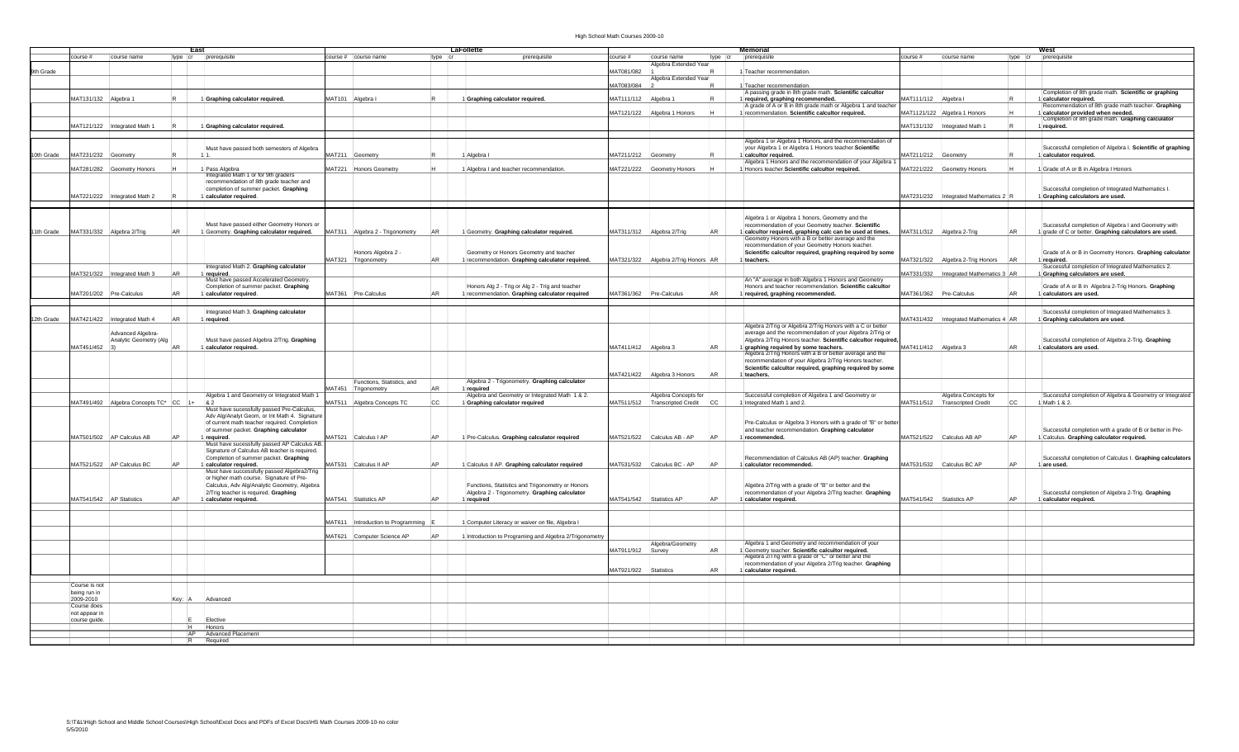## High School Math Courses 2009-10

|            |                      |                                       |           | East                                                   |               |                                 |           | LaFollette                                                                  |                                          |         | Memorial                                                                                                   |                      |                                             | West                                                       |
|------------|----------------------|---------------------------------------|-----------|--------------------------------------------------------|---------------|---------------------------------|-----------|-----------------------------------------------------------------------------|------------------------------------------|---------|------------------------------------------------------------------------------------------------------------|----------------------|---------------------------------------------|------------------------------------------------------------|
|            | ourse #              | course name                           |           | type cr prerequisite                                   |               | ourse #   course name           | type cr   | ourse #<br>prerequisite                                                     | course name                              | type cr | prerequisite                                                                                               | ourse #              | course name                                 | type cr prerequisite                                       |
|            |                      |                                       |           |                                                        |               |                                 |           |                                                                             | gebra Extended Year                      |         |                                                                                                            |                      |                                             |                                                            |
| 9th Grade  |                      |                                       |           |                                                        |               |                                 |           | MAT081/082                                                                  |                                          |         | 1 Teacher recommendation.                                                                                  |                      |                                             |                                                            |
|            |                      |                                       |           |                                                        |               |                                 |           |                                                                             | Igebra Extended Year                     |         |                                                                                                            |                      |                                             |                                                            |
|            |                      |                                       |           |                                                        |               |                                 |           | MAT083/084                                                                  |                                          |         | Teacher recommendation                                                                                     |                      |                                             |                                                            |
|            |                      |                                       |           |                                                        |               |                                 |           |                                                                             |                                          |         | A passing grade in 8th grade math. Scientific calcultor                                                    |                      |                                             | Completion of 8th grade math. Scientific or graphing       |
|            | MAT131/132 Algebra 1 |                                       |           |                                                        |               |                                 |           | MAT111/112                                                                  | Algebra 1                                |         | 1 required, graphing recommended.                                                                          | MAT111/112           | Algebra I                                   | 1 calculator required.                                     |
|            |                      |                                       |           | 1 Graphing calculator required.                        |               | MAT101 Algebra I                |           | 1 Graphing calculator required.                                             |                                          |         |                                                                                                            |                      |                                             |                                                            |
|            |                      |                                       |           |                                                        |               |                                 |           |                                                                             |                                          |         | A grade of A or B in 8th grade math or Algebra 1 and teache                                                |                      |                                             | Recommendation of 8th grade math teacher. Graphing         |
|            |                      |                                       |           |                                                        |               |                                 |           | MAT121/122                                                                  | Algebra 1 Honors                         |         | 1 recommendation. Scientific calcultor required.                                                           |                      | MAT1121/122 Algebra 1 Honors                | 1 calculator provided when needed.                         |
|            |                      |                                       |           |                                                        |               |                                 |           |                                                                             |                                          |         |                                                                                                            |                      |                                             | Completion of 8th grade math. Graphing calculator          |
|            |                      | MAT121/122  Integrated Math 1         |           | 1 Graphing calculator required.                        |               |                                 |           |                                                                             |                                          |         |                                                                                                            |                      | MAT131/132 Integrated Math 1                | 1 required.                                                |
|            |                      |                                       |           |                                                        |               |                                 |           |                                                                             |                                          |         |                                                                                                            |                      |                                             |                                                            |
|            |                      |                                       |           |                                                        |               |                                 |           |                                                                             |                                          |         | Algebra 1 or Algebra 1 Honors, and the recommendation o                                                    |                      |                                             |                                                            |
|            |                      |                                       |           | Must have passed both semesters of Algebra             |               |                                 |           |                                                                             |                                          |         | your Algebra 1 or Algebra 1 Honors teacher. Scientific                                                     |                      |                                             | Successful completion of Algebra I. Scientific of graphing |
| 10th Grade | MAT231/232           | Geometry                              |           | 11                                                     | AAT211        | Geometry                        |           | MAT211/212<br>I Algebra I                                                   | Geometry                                 |         | 1 calcultor required.                                                                                      | AAT211/212           | Geometry                                    | 1 calculator required.                                     |
|            |                      |                                       |           |                                                        |               |                                 |           |                                                                             |                                          |         | Algebra 1 Honors and the recommendation of your Algebra                                                    |                      |                                             |                                                            |
|            |                      | MAT281/282 Geometry Honors            |           |                                                        |               | MAT221 Honors Geometry          |           | 1 Algebra I and teacher recommendation<br>MAT221/222                        | Geometry Honors                          |         | 1 Honors teacher. Scientific calcultor required.                                                           | MAT221/222           | Geometry Honors                             | 1 Grade of A or B in Algebra I Honors                      |
|            |                      |                                       |           | 1 Pass Algebra<br>Integrated Math 1 or for 9th graders |               |                                 |           |                                                                             |                                          |         |                                                                                                            |                      |                                             |                                                            |
|            |                      |                                       |           | recommendation of 8th grade teacher and                |               |                                 |           |                                                                             |                                          |         |                                                                                                            |                      |                                             |                                                            |
|            |                      |                                       |           | completion of summer packet. Graphing                  |               |                                 |           |                                                                             |                                          |         |                                                                                                            |                      |                                             | Successful completion of Integrated Mathematics I.         |
|            |                      |                                       |           |                                                        |               |                                 |           |                                                                             |                                          |         |                                                                                                            |                      |                                             |                                                            |
|            |                      | MAT221/222  Integrated Math 2         |           | 1 calculator required.                                 |               |                                 |           |                                                                             |                                          |         |                                                                                                            |                      | MAT231/232 Integrated Mathematics 2         | 1 Graphing calculators are used.                           |
|            |                      |                                       |           |                                                        |               |                                 |           |                                                                             |                                          |         |                                                                                                            |                      |                                             |                                                            |
|            |                      |                                       |           |                                                        |               |                                 |           |                                                                             |                                          |         |                                                                                                            |                      |                                             |                                                            |
|            |                      |                                       |           |                                                        |               |                                 |           |                                                                             |                                          |         | Algebra 1 or Algebra 1 honors, Geometry and the                                                            |                      |                                             |                                                            |
|            |                      |                                       |           | Must have passed either Geometry Honors or             |               |                                 |           |                                                                             |                                          |         | recommendation of your Geometry teacher. Scientific                                                        |                      |                                             | Successful completion of Algebra I and Geometry with       |
| 11th Grade |                      | MAT331/332 Algebra 2/Trig             | AR        | 1 Geometry. Graphing calculator required.              |               | MAT311 Algebra 2 - Trigonometry | AR        | MAT311/312   Algebra 2/Trig<br>1 Geometry. Graphing calculator required.    | AR                                       |         | 1 calcultor required, graphing calc can be used at times.                                                  | MAT311/312           | <b>AR</b><br>Algebra 2-Trig                 | 1 grade of C or better. Graphing calculators are used.     |
|            |                      |                                       |           |                                                        |               |                                 |           |                                                                             |                                          |         | Geometry Honors with a B or better average and the                                                         |                      |                                             |                                                            |
|            |                      |                                       |           |                                                        |               |                                 |           |                                                                             |                                          |         | recommendation of your Geometry Honors teacher.                                                            |                      |                                             |                                                            |
|            |                      |                                       |           |                                                        |               |                                 |           |                                                                             |                                          |         |                                                                                                            |                      |                                             |                                                            |
|            |                      |                                       |           |                                                        |               | Ionors Algebra 2 -              |           | Geometry or Honors Geometry and teacher                                     |                                          |         | Scientific calcultor required, graphing required by some                                                   |                      |                                             | Grade of A or B in Geometry Honors. Graphing calculator    |
|            |                      |                                       |           |                                                        |               | MAT321 Trigonometry             | <b>AR</b> | 1 recommendation. Graphing calculator required.                             | MAT321/322 Algebra 2/Trig Honors AR      |         | 1 teachers.                                                                                                | MAT321/322           | Algebra 2-Trig Honors                       | 1 required                                                 |
|            |                      |                                       |           | Integrated Math 2. Graphing calculator                 |               |                                 |           |                                                                             |                                          |         |                                                                                                            |                      |                                             | Successful completion of Integrated Mathematics 2.         |
|            |                      | MAT321/322   Integrated Math 3        | AR        | 1 required.<br>Must have passed Accelerated Geometry.  |               |                                 |           |                                                                             |                                          |         |                                                                                                            |                      | MAT331/332 Integrated Mathematics 3 AR      | 1 Graphing calculators are used.                           |
|            |                      |                                       |           |                                                        |               |                                 |           |                                                                             |                                          |         | An "A" average in both Algebra 1 Honors and Geometry                                                       |                      |                                             |                                                            |
|            |                      |                                       |           | Completion of summer packet. Graphing                  |               |                                 |           | Honors Alg 2 - Trig or Alg 2 - Trig and teacher                             |                                          |         | Honors and teacher recommendation. Scientific calcultor                                                    |                      |                                             | Grade of A or B in Algebra 2-Trig Honors. Graphing         |
|            |                      | MAT201/202   Pre-Calculus             | <b>AR</b> | 1 calculator required.                                 |               | MAT361   Pre-Calculus           | İAR       | MAT361/362   Pre-Calculus<br>1 recommendation. Graphing calculator required | AR                                       |         | 1 required, graphing recommended.                                                                          |                      | MAT361/362 Pre-Calculus                     | 1 calculators are used.                                    |
|            |                      |                                       |           |                                                        |               |                                 |           |                                                                             |                                          |         |                                                                                                            |                      |                                             |                                                            |
|            |                      |                                       |           |                                                        |               |                                 |           |                                                                             |                                          |         |                                                                                                            |                      |                                             |                                                            |
|            |                      |                                       |           | ntegrated Math 3. Graphing calculator                  |               |                                 |           |                                                                             |                                          |         |                                                                                                            |                      |                                             | Successful completion of Integrated Mathematics 3.         |
| 12th Grade | MAT421/422           | Integrated Math 4                     | AR        | 1 required.                                            |               |                                 |           |                                                                             |                                          |         |                                                                                                            | MAT431/432           | Integrated Mathematics 4 AR                 | 1 Graphing calculators are used.                           |
|            |                      |                                       |           |                                                        |               |                                 |           |                                                                             |                                          |         | Algebra 2/Trig or Algebra 2/Trig Honors with a C or better                                                 |                      |                                             |                                                            |
|            |                      | Advanced Algebra-                     |           |                                                        |               |                                 |           |                                                                             |                                          |         | average and the recommendation of your Algebra 2/Trig or                                                   |                      |                                             |                                                            |
|            |                      |                                       |           | Must have passed Algebra 2/Trig. Graphing              |               |                                 |           |                                                                             |                                          |         | Algebra 2/Trig Honors teacher. Scientific calcultor required                                               |                      |                                             | Successful completion of Algebra 2-Trig. Graphing          |
|            | MAT451/452           | nalytic Geometry (Alg.                | AR        |                                                        |               |                                 |           |                                                                             | AR                                       |         |                                                                                                            | MAT411/412 Algebra 3 |                                             |                                                            |
|            |                      |                                       |           | 1 calculator required.                                 |               |                                 |           | MAT411/412 Algebra 3                                                        |                                          |         | 1 graphing required by some teachers.                                                                      |                      |                                             | 1 calculators are used.                                    |
|            |                      |                                       |           |                                                        |               |                                 |           |                                                                             |                                          |         | Algebra 2/Trig Honors with a B or better average and the                                                   |                      |                                             |                                                            |
|            |                      |                                       |           |                                                        |               |                                 |           |                                                                             |                                          |         | recommendation of your Algebra 2/Trig Honors teacher.                                                      |                      |                                             |                                                            |
|            |                      |                                       |           |                                                        |               |                                 |           |                                                                             |                                          |         | Scientific calcultor required, graphing required by some                                                   |                      |                                             |                                                            |
|            |                      |                                       |           |                                                        |               |                                 |           |                                                                             | <b>AR</b><br>AAT421/422 Algebra 3 Honors |         | 1 teachers.                                                                                                |                      |                                             |                                                            |
|            |                      |                                       |           |                                                        |               | unctions, Statistics, and       |           | Algebra 2 - Trigonometry. Graphing calculator                               |                                          |         |                                                                                                            |                      |                                             |                                                            |
|            |                      |                                       |           |                                                        |               | <b>JAT451</b> Trigonometry      |           | 1 required                                                                  |                                          |         |                                                                                                            |                      |                                             |                                                            |
|            |                      |                                       |           |                                                        |               |                                 |           |                                                                             |                                          |         |                                                                                                            |                      |                                             |                                                            |
|            |                      |                                       |           | Algebra 1 and Geometry or Integrated Math 1            |               |                                 |           | Algebra and Geometry or Integrated Math 1 & 2.                              | Algebra Concepts for                     |         | Successful completion of Algebra 1 and Geometry or                                                         |                      | Algebra Concepts for                        | Successful completion of Algebra & Geometry or Integrated  |
|            |                      | MAT491/492 Algebra Concepts TC* CC 1+ |           |                                                        |               | IAT511 Algebra Concepts TC      |           | 1 Graphing calculator required                                              | MAT511/512   Transcripted Credit<br> cc  |         | 1 Integrated Math 1 and 2.                                                                                 |                      | MAT511/512 Transcripted Credit<br><b>CC</b> | 1 Math 1 & 2.                                              |
|            |                      |                                       |           | Aust have sucessfully passed Pre-Calculus,             |               |                                 |           |                                                                             |                                          |         |                                                                                                            |                      |                                             |                                                            |
|            |                      |                                       |           | Adv Alg/Analyt Geom, or Int Math 4. Signature          |               |                                 |           |                                                                             |                                          |         |                                                                                                            |                      |                                             |                                                            |
|            |                      |                                       |           | of current math teacher required. Completion           |               |                                 |           |                                                                             |                                          |         | Pre-Calculus or Algebra 3 Honors with a grade of "B" or better                                             |                      |                                             |                                                            |
|            |                      |                                       |           | of summer packet. Graphing calculator                  |               |                                 |           |                                                                             |                                          |         | and teacher recommendation. Graphing calculator                                                            |                      |                                             | Successful completion with a grade of B or better in Pre-  |
|            |                      | MAT501/502 AP Calculus AB             | <b>AP</b> | 1 required.                                            |               | MAT521 Calculus I AP            |           | 1 Pre-Calculus. Graphing calculator required                                | MAT521/522 Calculus AB - AP<br><b>AP</b> |         | 1 recommended.                                                                                             |                      | MAT521/522 Calculus AB AP                   | 1 Calculus. Graphing calculator required.                  |
|            |                      |                                       |           | Must have sucessfully passed AP Calculus AB            |               |                                 |           |                                                                             |                                          |         |                                                                                                            |                      |                                             |                                                            |
|            |                      |                                       |           | Signature of Calculus AB teacher is required.          |               |                                 |           |                                                                             |                                          |         |                                                                                                            |                      |                                             |                                                            |
|            |                      |                                       |           | Completion of summer packet. Graphing                  |               |                                 |           |                                                                             |                                          |         | Recommendation of Calculus AB (AP) teacher. Graphing                                                       |                      |                                             |                                                            |
|            |                      |                                       |           |                                                        |               |                                 |           |                                                                             |                                          |         |                                                                                                            |                      | AP                                          | Successful completion of Calculus I. Graphing calculators  |
|            |                      | MAT521/522 AP Calculus BC             | AP        | 1 calculator required.                                 |               | MAT531 Calculus II AP           |           | 1 Calculus II AP. Graphing calculator required                              | MAT531/532 Calculus BC - AP<br>AP        |         | 1 calculator recommended.                                                                                  |                      | MAT531/532 Calculus BC AP                   | 1 are used                                                 |
|            |                      |                                       |           | Must have successfully passed Algebra2/Trig            |               |                                 |           |                                                                             |                                          |         |                                                                                                            |                      |                                             |                                                            |
|            |                      |                                       |           | or higher math course. Signature of Pre-               |               |                                 |           |                                                                             |                                          |         |                                                                                                            |                      |                                             |                                                            |
|            |                      |                                       |           | Calculus, Adv Alg/Analytic Geometry, Algebra           |               |                                 |           | Functions, Statistics and Trigonometry or Honors                            |                                          |         | Algebra 2/Trig with a grade of "B" or better and the                                                       |                      |                                             |                                                            |
|            |                      |                                       |           | 2/Trig teacher is required. Graphing                   |               |                                 |           | Algebra 2 - Trigonometry. Graphing calculator                               |                                          |         | recommendation of your Algebra 2/Trig teacher. Graphing                                                    |                      |                                             | Successful completion of Algebra 2-Trig. Graphing          |
|            |                      | MAT541/542   AP Statistics            |           | 1 calculator required.                                 |               | MAT541 Statistics AP            |           | 1 required<br>MAT541/542                                                    | AP<br>Statistics AP                      |         | 1 calculator required.                                                                                     | MAT541/542           | Statistics AP                               | 1 calculator required.                                     |
|            |                      |                                       |           |                                                        |               |                                 |           |                                                                             |                                          |         |                                                                                                            |                      |                                             |                                                            |
|            |                      |                                       |           |                                                        |               |                                 |           |                                                                             |                                          |         |                                                                                                            |                      |                                             |                                                            |
|            |                      |                                       |           |                                                        |               |                                 |           |                                                                             |                                          |         |                                                                                                            |                      |                                             |                                                            |
|            |                      |                                       |           |                                                        | <b>MAT611</b> | Introduction to Programming     |           | 1 Computer Literacy or waiver on file, Algebra I                            |                                          |         |                                                                                                            |                      |                                             |                                                            |
|            |                      |                                       |           |                                                        |               |                                 |           |                                                                             |                                          |         |                                                                                                            |                      |                                             |                                                            |
|            |                      |                                       |           |                                                        |               | MAT621 Computer Science AP      |           | 1 Introduction to Programing and Algebra 2/Trigonometry                     |                                          |         |                                                                                                            |                      |                                             |                                                            |
|            |                      |                                       |           |                                                        |               |                                 |           |                                                                             | Algebra/Geometry                         |         | Algebra 1 and Geometry and recommendation of your                                                          |                      |                                             |                                                            |
|            |                      |                                       |           |                                                        |               |                                 |           | MAT911/912                                                                  | AR<br>Survey                             |         |                                                                                                            |                      |                                             |                                                            |
|            |                      |                                       |           |                                                        |               |                                 |           |                                                                             |                                          |         | 1 Geometry teacher. Scientific calcultor required.<br>Algebra 2/Trig with a grade of "C" or better and the |                      |                                             |                                                            |
|            |                      |                                       |           |                                                        |               |                                 |           |                                                                             |                                          |         |                                                                                                            |                      |                                             |                                                            |
|            |                      |                                       |           |                                                        |               |                                 |           |                                                                             |                                          |         | recommendation of your Algebra 2/Trig teacher. Graphing                                                    |                      |                                             |                                                            |
|            |                      |                                       |           |                                                        |               |                                 |           | MAT921/922 Statistics                                                       | AR                                       |         | 1 calculator required.                                                                                     |                      |                                             |                                                            |
|            |                      |                                       |           |                                                        |               |                                 |           |                                                                             |                                          |         |                                                                                                            |                      |                                             |                                                            |
|            | Course is not        |                                       |           |                                                        |               |                                 |           |                                                                             |                                          |         |                                                                                                            |                      |                                             |                                                            |
|            | being run in         |                                       |           |                                                        |               |                                 |           |                                                                             |                                          |         |                                                                                                            |                      |                                             |                                                            |
|            | 2009-2010            |                                       | Key:      | Advanced                                               |               |                                 |           |                                                                             |                                          |         |                                                                                                            |                      |                                             |                                                            |
|            | Course does          |                                       |           |                                                        |               |                                 |           |                                                                             |                                          |         |                                                                                                            |                      |                                             |                                                            |
|            | not appear in        |                                       |           |                                                        |               |                                 |           |                                                                             |                                          |         |                                                                                                            |                      |                                             |                                                            |
|            |                      |                                       |           |                                                        |               |                                 |           |                                                                             |                                          |         |                                                                                                            |                      |                                             |                                                            |
|            | course guide.        |                                       |           | lective                                                |               |                                 |           |                                                                             |                                          |         |                                                                                                            |                      |                                             |                                                            |
|            |                      |                                       | łН.       | Honors                                                 |               |                                 |           |                                                                             |                                          |         |                                                                                                            |                      |                                             |                                                            |
|            |                      |                                       |           | AP Advanced Placement                                  |               |                                 |           |                                                                             |                                          |         |                                                                                                            |                      |                                             |                                                            |
|            |                      |                                       |           | Required                                               |               |                                 |           |                                                                             |                                          |         |                                                                                                            |                      |                                             |                                                            |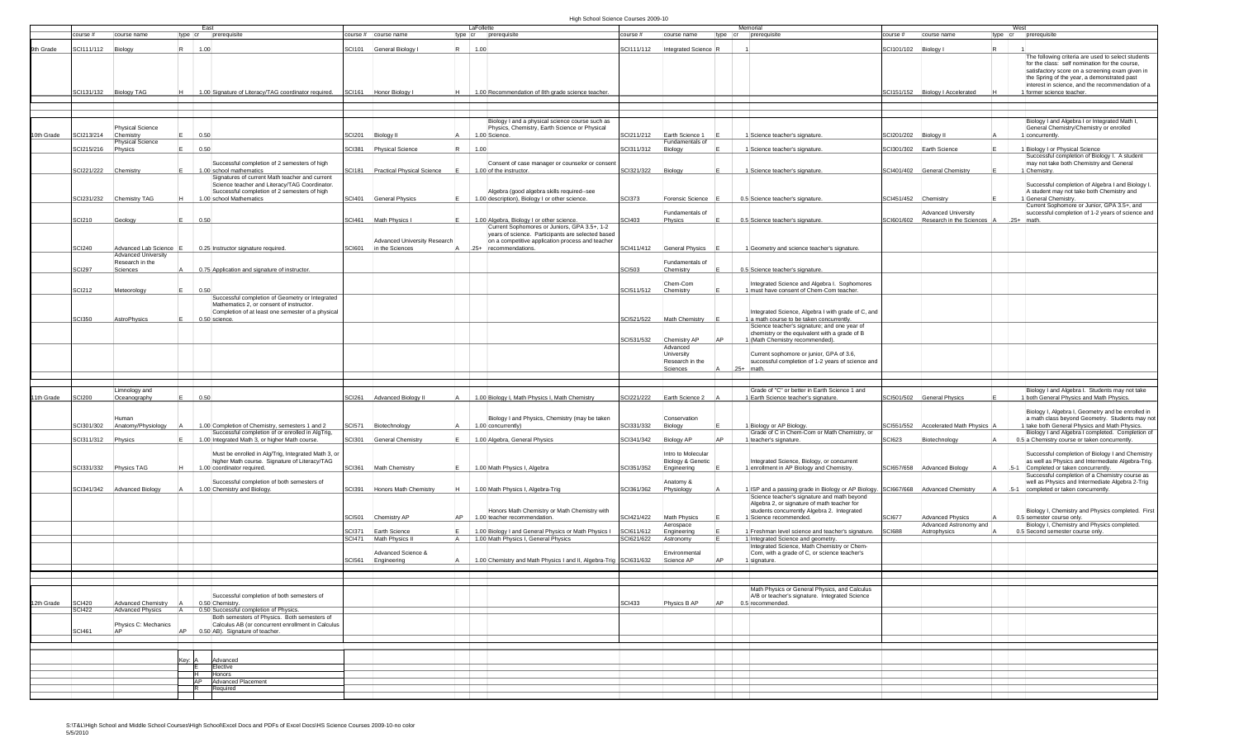## High School Science Courses 2009-10

|            |                      |                                             |        | East                                                                                                                                             |        |                                   | LaFollette |                                                                                                                   |               |                                         |    | Memorial                                                                                                            |                      |                                                                     | West                                                                                                                                                                                                                                                                                    |
|------------|----------------------|---------------------------------------------|--------|--------------------------------------------------------------------------------------------------------------------------------------------------|--------|-----------------------------------|------------|-------------------------------------------------------------------------------------------------------------------|---------------|-----------------------------------------|----|---------------------------------------------------------------------------------------------------------------------|----------------------|---------------------------------------------------------------------|-----------------------------------------------------------------------------------------------------------------------------------------------------------------------------------------------------------------------------------------------------------------------------------------|
|            | ourse#               | course name                                 |        | type cr prerequisite                                                                                                                             |        | ourse #   course name             |            | type cr prerequisite                                                                                              | course #      | course name                             |    | type cr prerequisite                                                                                                | ourse $#$            | course name                                                         | type cr prerequisite                                                                                                                                                                                                                                                                    |
| 9th Grade  | SCI111/112           | Biology                                     |        | 1.00                                                                                                                                             |        | SCI101 General Biology            | 1.00       |                                                                                                                   | SCI111/112    | Integrated Science R                    |    |                                                                                                                     | SCI101/102 Biology I |                                                                     |                                                                                                                                                                                                                                                                                         |
|            |                      | SCI131/132 Biology TAG                      |        | 1.00 Signature of Literacy/TAG coordinator required.                                                                                             |        | SCI161 Honor Biology I            |            | 1.00 Recommendation of 8th grade science teacher.                                                                 |               |                                         |    |                                                                                                                     |                      | SCI151/152 Biology I Accelerated                                    | The following criteria are used to select students<br>for the class: self nomination for the course,<br>satisfactory score on a screening exam given in<br>the Spring of the year, a demonstrated past<br>interest in science, and the recommendation of a<br>1 former science teacher. |
|            |                      |                                             |        |                                                                                                                                                  |        |                                   |            |                                                                                                                   |               |                                         |    |                                                                                                                     |                      |                                                                     |                                                                                                                                                                                                                                                                                         |
|            |                      |                                             |        |                                                                                                                                                  |        |                                   |            |                                                                                                                   |               |                                         |    |                                                                                                                     |                      |                                                                     |                                                                                                                                                                                                                                                                                         |
| 10th Grade | SCI213/214           | <b>Physical Science</b><br>Chemistry        |        | 0.50                                                                                                                                             |        | SCI201 Biology II                 |            | Biology I and a physical science course such as<br>Physics, Chemistry, Earth Science or Physical<br>1.00 Science. | SCI211/212    | Earth Science 1                         |    | 1 Science teacher's signature                                                                                       |                      | SCI201/202 Biology II                                               | Biology I and Algebra I or Integrated Math I.<br>General Chemistry/Chemistry or enrolled<br>1 concurrently.                                                                                                                                                                             |
|            | Cl215/216            | <b>Physical Science</b><br>Physics          |        | 0.50                                                                                                                                             | SCI381 | <b>Physical Science</b>           | 1.00       |                                                                                                                   | CI311/312     | Fundamentals of<br>Biology              |    | 1 Science teacher's signature                                                                                       |                      | SCI301/302 Earth Science                                            | 1 Biology I or Physical Science                                                                                                                                                                                                                                                         |
|            |                      |                                             |        |                                                                                                                                                  |        |                                   |            |                                                                                                                   |               |                                         |    |                                                                                                                     |                      |                                                                     | Successful completion of Biology I. A student                                                                                                                                                                                                                                           |
|            |                      |                                             |        | Successful completion of 2 semesters of high                                                                                                     |        |                                   |            | Consent of case manager or counselor or consen                                                                    |               |                                         |    |                                                                                                                     |                      |                                                                     | may not take both Chemistry and General                                                                                                                                                                                                                                                 |
|            | SCI221/222 Chemistry |                                             |        | 1.00 school mathematics<br>Signatures of current Math teacher and current                                                                        |        | SCI181 Practical Physical Science |            | 1.00 of the instructor.                                                                                           | SCI321/322    | Biology                                 |    | 1 Science teacher's signature                                                                                       |                      | SCI401/402 General Chemistry                                        | 1 Chemistry.                                                                                                                                                                                                                                                                            |
|            |                      | SCI231/232 Chemistry TAG                    |        | Science teacher and Literacy/TAG Coordinator.<br>Successful completion of 2 semesters of high<br>1.00 school Mathematics                         |        | SCI401 General Physics            |            | Algebra (good algebra skills required--see<br>1.00 description), Biology I or other science.                      | <b>SCI373</b> | <b>Forensic Science</b>                 |    | 0.5 Science teacher's signature                                                                                     |                      | SCI451/452 Chemistry                                                | Successful completion of Algebra I and Biology I<br>A student may not take both Chemistry and<br>1 General Chemistry.                                                                                                                                                                   |
|            |                      |                                             |        |                                                                                                                                                  |        |                                   |            |                                                                                                                   |               |                                         |    |                                                                                                                     |                      |                                                                     | Current Sophomore or Junior, GPA 3.5+, and                                                                                                                                                                                                                                              |
|            | SCI210               | Geology                                     |        | 0.50                                                                                                                                             |        | SCI461 Math Physics I             |            | 1.00 Algebra, Biology I or other science.<br>Current Sophomores or Juniors, GPA 3.5+, 1-2                         | <b>SCI403</b> | Fundamentals of<br>Physics              |    | 0.5 Science teacher's signature                                                                                     |                      | <b>Advanced University</b><br>SCI601/602 Research in the Sciences A | successful completion of 1-2 years of science and<br>$.25+$ math.                                                                                                                                                                                                                       |
|            |                      |                                             |        |                                                                                                                                                  |        | Advanced University Research      |            | years of science. Participants are selected based<br>on a competitive application process and teacher             |               |                                         |    |                                                                                                                     |                      |                                                                     |                                                                                                                                                                                                                                                                                         |
|            | CI240                | Advanced Lab Science<br>Advanced University |        | 0.25 Instructor signature required                                                                                                               |        | SCI601   in the Sciences          |            | .25+  recommendations.                                                                                            | SCI411/412    | <b>General Physics</b>                  |    | 1 Geometry and science teacher's signature.                                                                         |                      |                                                                     |                                                                                                                                                                                                                                                                                         |
|            |                      | Research in the                             |        |                                                                                                                                                  |        |                                   |            |                                                                                                                   |               | Fundamentals of                         |    |                                                                                                                     |                      |                                                                     |                                                                                                                                                                                                                                                                                         |
|            | SCI297               | Sciences                                    |        | 0.75 Application and signature of instructor.                                                                                                    |        |                                   |            |                                                                                                                   | <b>SCI503</b> | Chemistry                               |    | 0.5 Science teacher's signature                                                                                     |                      |                                                                     |                                                                                                                                                                                                                                                                                         |
|            |                      |                                             |        |                                                                                                                                                  |        |                                   |            |                                                                                                                   |               | Chem-Com                                |    | Integrated Science and Algebra I. Sophomores                                                                        |                      |                                                                     |                                                                                                                                                                                                                                                                                         |
|            | SCI212               | Meteorology                                 |        | 0.50                                                                                                                                             |        |                                   |            |                                                                                                                   | SCI511/512    | Chemistry                               |    | 1 must have consent of Chem-Com teacher.                                                                            |                      |                                                                     |                                                                                                                                                                                                                                                                                         |
|            |                      |                                             |        | Successful completion of Geometry or Integrated<br>Mathematics 2, or consent of instructor.<br>Completion of at least one semester of a physical |        |                                   |            |                                                                                                                   |               |                                         |    | Integrated Science, Algebra I with grade of C, and                                                                  |                      |                                                                     |                                                                                                                                                                                                                                                                                         |
|            | <b>SCI350</b>        | AstroPhysics                                |        | 0.50 science.                                                                                                                                    |        |                                   |            |                                                                                                                   | SCI521/522    | Math Chemistry                          |    | 1 a math course to be taken concurrently.<br>Science teacher's signature; and one year of                           |                      |                                                                     |                                                                                                                                                                                                                                                                                         |
|            |                      |                                             |        |                                                                                                                                                  |        |                                   |            |                                                                                                                   |               |                                         |    | chemistry or the equivalent with a grade of B                                                                       |                      |                                                                     |                                                                                                                                                                                                                                                                                         |
|            |                      |                                             |        |                                                                                                                                                  |        |                                   |            |                                                                                                                   | SCI531/532    | Chemistry AP                            |    | 1 (Math Chemistry recommended).                                                                                     |                      |                                                                     |                                                                                                                                                                                                                                                                                         |
|            |                      |                                             |        |                                                                                                                                                  |        |                                   |            |                                                                                                                   |               | Advanced<br>University                  |    | Current sophomore or junior, GPA of 3.6,                                                                            |                      |                                                                     |                                                                                                                                                                                                                                                                                         |
|            |                      |                                             |        |                                                                                                                                                  |        |                                   |            |                                                                                                                   |               | Research in the                         |    | successful completion of 1-2 years of science and                                                                   |                      |                                                                     |                                                                                                                                                                                                                                                                                         |
|            |                      |                                             |        |                                                                                                                                                  |        |                                   |            |                                                                                                                   |               | Sciences                                |    | $.25+$<br><b>I</b> math                                                                                             |                      |                                                                     |                                                                                                                                                                                                                                                                                         |
|            |                      |                                             |        |                                                                                                                                                  |        |                                   |            |                                                                                                                   |               |                                         |    |                                                                                                                     |                      |                                                                     |                                                                                                                                                                                                                                                                                         |
|            |                      | Limnology and                               |        |                                                                                                                                                  |        |                                   |            |                                                                                                                   |               |                                         |    | Grade of "C" or better in Earth Science 1 and                                                                       |                      |                                                                     | Biology I and Algebra I. Students may not take                                                                                                                                                                                                                                          |
| 11th Grade | <b>CI200</b>         | Oceanography                                |        | 0.50                                                                                                                                             |        | SCI261 Advanced Biology II        |            | 1.00 Biology I, Math Physics I, Math Chemistry                                                                    | SCI221/222    | Earth Science 2                         |    | 1 Earth Science teacher's signature.                                                                                |                      | SCI501/502 General Physics                                          | 1 both General Physics and Math Physics.                                                                                                                                                                                                                                                |
|            |                      | SCI301/302 Anatomy/Physiology               |        | 1.00 Completion of Chemistry, semesters 1 and 2                                                                                                  |        | SCI571 Biotechnology              |            | Biology I and Physics, Chemistry (may be taken<br>1.00 concurrently)                                              | SCI331/332    | Conservation<br>Biology                 |    | 1 Biology or AP Biology.                                                                                            |                      | 3Cl551/552 Accelerated Math Physics                                 | Biology I, Algebra I, Geometry and be enrolled in<br>a math class beyond Geometry. Students may not<br>1 take both General Physics and Math Physics.                                                                                                                                    |
|            |                      |                                             |        | Successful completion of or enrolled in AlgTrig,                                                                                                 |        |                                   |            |                                                                                                                   |               |                                         |    | Grade of C in Chem-Com or Math Chemistry, or                                                                        |                      |                                                                     | Biology I and Algebra I completed. Completion of                                                                                                                                                                                                                                        |
|            | SCI311/312 Physics   |                                             |        | 1.00 Integrated Math 3, or higher Math course.                                                                                                   |        | SCI301 General Chemistry          |            | 1.00 Algebra, General Physics                                                                                     | SCI341/342    | <b>Biology AP</b>                       |    | 1 teacher's signature.                                                                                              | <b>SCI623</b>        | Biotechnology                                                       | 0.5 a Chemistry course or taken concurrently                                                                                                                                                                                                                                            |
|            |                      |                                             |        | Must be enrolled in Alg/Trig, Integrated Math 3, or<br>higher Math course. Signature of Literacy/TAG                                             |        |                                   |            |                                                                                                                   |               | Intro to Molecular<br>Biology & Genetic |    | Integrated Science, Biology, or concurrent                                                                          |                      |                                                                     | Successful completion of Biology I and Chemistry<br>as well as Physics and Intermediate Algebra-Trig.                                                                                                                                                                                   |
|            |                      | SCI331/332 Physics TAG                      |        | 1.00 coordinator required.                                                                                                                       |        | SCI361 Math Chemistry             |            | 1.00 Math Physics I, Algebra                                                                                      | SCI351/352    | Engineering                             |    | 1 enrollment in AP Biology and Chemistry.                                                                           | CI657/658            | <b>Advanced Biology</b>                                             | Completed or taken concurrently.<br>Successful completion of a Chemistry course as                                                                                                                                                                                                      |
|            |                      | SCI341/342 Advanced Biology                 |        | Successful completion of both semesters of<br>1.00 Chemistry and Biology.                                                                        |        | SCI391 Honors Math Chemistry      |            | 1.00 Math Physics I, Algebra-Trig                                                                                 | SCI361/362    | Anatomy &<br>Physiology                 |    | 1 ISP and a passing grade in Biology or AP Biology.                                                                 |                      | SCI667/668 Advanced Chemistry                                       | well as Physics and Intermediate Algebra 2-Trig<br>.5-1 completed or taken concurrently.                                                                                                                                                                                                |
|            |                      |                                             |        |                                                                                                                                                  |        |                                   |            |                                                                                                                   |               |                                         |    | Science teacher's signature and math beyond<br>Algebra 2, or signature of math teacher for                          |                      |                                                                     |                                                                                                                                                                                                                                                                                         |
|            |                      |                                             |        |                                                                                                                                                  | SCI501 | AP<br>Chemistry AP                |            | Honors Math Chemistry or Math Chemistry with<br>1.00 teacher recommendation.                                      | SCI421/422    | <b>Math Physics</b>                     |    | students concurrently Algebra 2. Integrated<br>Science recommended.                                                 | SCI677               | <b>Advanced Physics</b>                                             | Biology I, Chemistry and Physics completed. First<br>0.5 semester course only.                                                                                                                                                                                                          |
|            |                      |                                             |        |                                                                                                                                                  | SCI371 | Earth Science                     |            | 1.00 Biology I and General Physics or Math Physics I                                                              | SCI611/612    | Aerospace<br>Engineering                |    | 1 Freshman level science and teacher's signature.                                                                   | <b>SCI688</b>        | Advanced Astronomy and<br>Astrophysics                              | Biology I, Chemistry and Physics completed.<br>0.5 Second semester course only.                                                                                                                                                                                                         |
|            |                      |                                             |        |                                                                                                                                                  | SCI471 | Math Physics II<br>IA.            |            | 1.00 Math Physics I, General Physics                                                                              | CI621/622     | Astronomy                               |    | 1 Integrated Science and geometry.                                                                                  |                      |                                                                     |                                                                                                                                                                                                                                                                                         |
|            |                      |                                             |        |                                                                                                                                                  | SCI561 | Advanced Science &<br>Engineering |            | 1.00 Chemistry and Math Physics I and II, Algebra-Trig SCI631/632                                                 |               | Environmental<br>Science AP             |    | Integrated Science, Math Chemistry or Chem-<br>Com, with a grade of C, or science teacher's<br>1 signature          |                      |                                                                     |                                                                                                                                                                                                                                                                                         |
|            |                      |                                             |        |                                                                                                                                                  |        |                                   |            |                                                                                                                   |               |                                         |    |                                                                                                                     |                      |                                                                     |                                                                                                                                                                                                                                                                                         |
|            |                      |                                             |        |                                                                                                                                                  |        |                                   |            |                                                                                                                   |               |                                         |    |                                                                                                                     |                      |                                                                     |                                                                                                                                                                                                                                                                                         |
| 12th Grade | SCI420               | <b>Advanced Chemistry</b>                   |        | Successful completion of both semesters of<br>0.50 Chemistry.                                                                                    |        |                                   |            |                                                                                                                   | <b>SCI433</b> | Physics B AP                            | AP | Math Physics or General Physics, and Calculus<br>A/B or teacher's signature. Integrated Science<br>0.5 recommended. |                      |                                                                     |                                                                                                                                                                                                                                                                                         |
|            | <b>SCI422</b>        | Advanced Physics                            |        | A   0.50 Successful completion of Physics.                                                                                                       |        |                                   |            |                                                                                                                   |               |                                         |    |                                                                                                                     |                      |                                                                     |                                                                                                                                                                                                                                                                                         |
|            |                      | Physics C: Mechanics                        |        | Both semesters of Physics. Both semesters of<br>Calculus AB (or concurrent enrollment in Calculus                                                |        |                                   |            |                                                                                                                   |               |                                         |    |                                                                                                                     |                      |                                                                     |                                                                                                                                                                                                                                                                                         |
|            | <b>SCI461</b>        | <b>AP</b>                                   | AP     | 0.50 AB). Signature of teacher.                                                                                                                  |        |                                   |            |                                                                                                                   |               |                                         |    |                                                                                                                     |                      |                                                                     |                                                                                                                                                                                                                                                                                         |
|            |                      |                                             |        |                                                                                                                                                  |        |                                   |            |                                                                                                                   |               |                                         |    |                                                                                                                     |                      |                                                                     |                                                                                                                                                                                                                                                                                         |
|            |                      |                                             | Key: A | Advanced                                                                                                                                         |        |                                   |            |                                                                                                                   |               |                                         |    |                                                                                                                     |                      |                                                                     |                                                                                                                                                                                                                                                                                         |
|            |                      |                                             |        | Elective                                                                                                                                         |        |                                   |            |                                                                                                                   |               |                                         |    |                                                                                                                     |                      |                                                                     |                                                                                                                                                                                                                                                                                         |
|            |                      |                                             |        | H.<br>Honors<br>AP<br><b>Advanced Placement</b>                                                                                                  |        |                                   |            |                                                                                                                   |               |                                         |    |                                                                                                                     |                      |                                                                     |                                                                                                                                                                                                                                                                                         |
|            |                      |                                             |        | IR.<br>Required                                                                                                                                  |        |                                   |            |                                                                                                                   |               |                                         |    |                                                                                                                     |                      |                                                                     |                                                                                                                                                                                                                                                                                         |
|            |                      |                                             |        |                                                                                                                                                  |        |                                   |            |                                                                                                                   |               |                                         |    |                                                                                                                     |                      |                                                                     |                                                                                                                                                                                                                                                                                         |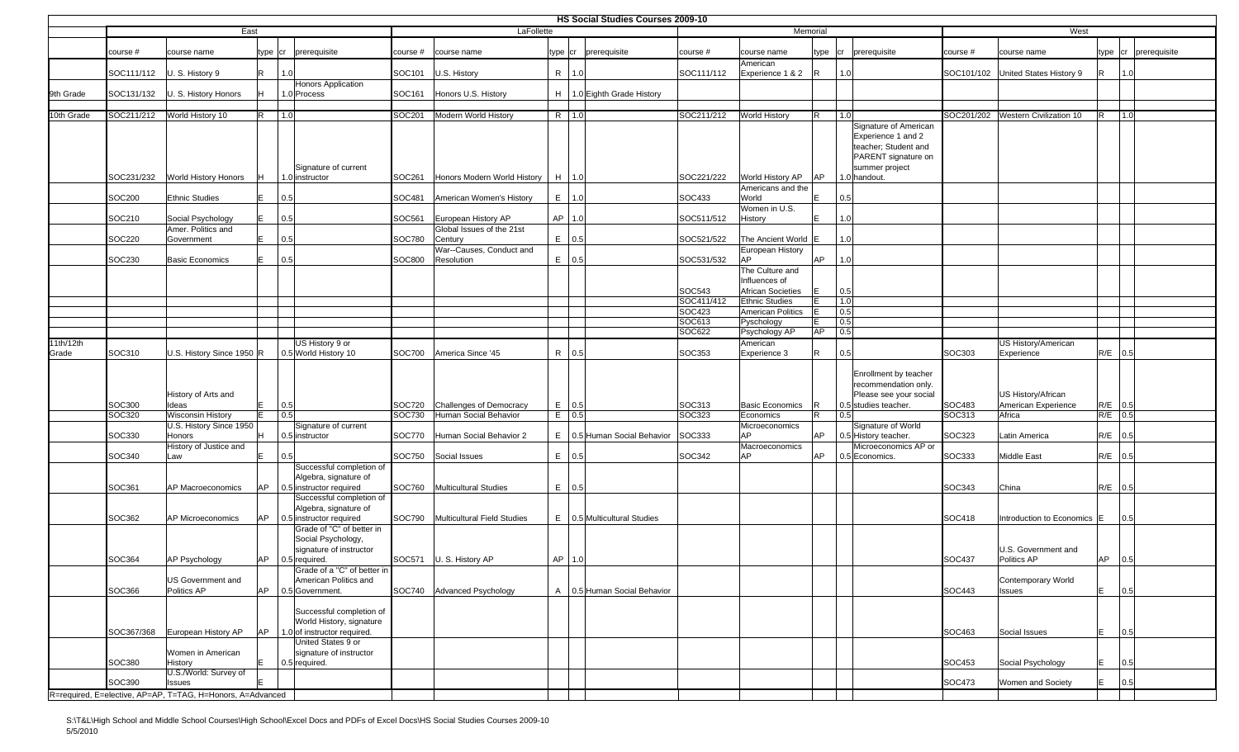|            |               |                                                            |           |                                                                              |               |                                      |    |           | HS Social Studies Courses 2009-10 |                  |                                        |            |            |                                                                                                                              |               |                                    |           |              |
|------------|---------------|------------------------------------------------------------|-----------|------------------------------------------------------------------------------|---------------|--------------------------------------|----|-----------|-----------------------------------|------------------|----------------------------------------|------------|------------|------------------------------------------------------------------------------------------------------------------------------|---------------|------------------------------------|-----------|--------------|
|            |               | East                                                       |           |                                                                              |               | LaFollette                           |    |           |                                   |                  | Memorial                               |            |            |                                                                                                                              |               | West                               |           |              |
|            | course #      | course name                                                |           | type cr prerequisite                                                         | course #      | course name                          |    |           | type cr prerequisite              | course #         | course name                            | type       | cr         | prerequisite                                                                                                                 | course #      | course name                        | type cr   | prerequisite |
|            |               | SOC111/112   U. S. History 9                               | R         | 1.0                                                                          | SOC101        | U.S. History                         |    | R   1.0   |                                   | SOC111/112       | American<br>Experience 1 & 2           |            | 1.0        |                                                                                                                              |               | SOC101/102 United States History 9 | IR.       | 1.0          |
| 9th Grade  | SOC131/132    | U. S. History Honors                                       |           | <b>Honors Application</b><br>1.0 Process                                     | SOC161        | Honors U.S. History                  |    |           | H   1.0 Eighth Grade History      |                  |                                        |            |            |                                                                                                                              |               |                                    |           |              |
| 10th Grade | SOC211/212    | World History 10                                           | R         | 1.0                                                                          | SOC201        | Modern World History                 |    | R   1.0   |                                   | SOC211/212       | <b>World History</b>                   | R          | 1.0        |                                                                                                                              |               | SOC201/202 Western Civilization 10 |           | 1.0          |
|            | SOC231/232    | World History Honors                                       | Iн.       | Signature of current<br>1.0 instructor                                       |               | SOC261 Honors Modern World History   |    | $H$   1.0 |                                   | SOC221/222       | World History AP                       | AP         |            | Signature of American<br>Experience 1 and 2<br>teacher; Student and<br>PARENT signature on<br>summer project<br>1.0 handout. |               |                                    |           |              |
|            |               |                                                            |           |                                                                              |               |                                      |    |           |                                   |                  | Americans and the                      |            |            |                                                                                                                              |               |                                    |           |              |
|            | <b>SOC200</b> | <b>Ethnic Studies</b>                                      | F         | 0.5                                                                          | SOC481        | American Women's History             |    | $E$ 1.0   |                                   | SOC433           | World<br>Women in U.S.                 | F          | 0.5        |                                                                                                                              |               |                                    |           |              |
|            | SOC210        | Social Psychology                                          | IF        | 0.5                                                                          | SOC561        | European History AP                  |    | AP   1.0  |                                   | SOC511/512       | History                                |            | 1.0        |                                                                                                                              |               |                                    |           |              |
|            | SOC220        | Amer. Politics and<br>Government                           | F         | 0.5                                                                          | SOC780        | Global Issues of the 21st<br>Century |    | $E = 0.5$ |                                   | SOC521/522       | The Ancient World                      |            | 1.0        |                                                                                                                              |               |                                    |           |              |
|            |               |                                                            |           |                                                                              |               | War--Causes, Conduct and             |    |           |                                   |                  | European History                       |            |            |                                                                                                                              |               |                                    |           |              |
|            | SOC230        | <b>Basic Economics</b>                                     | E         | 0.5                                                                          | <b>SOC800</b> | Resolution                           |    | $E$ 0.5   |                                   | SOC531/532       | AP                                     | AP         | 1.0        |                                                                                                                              |               |                                    |           |              |
|            |               |                                                            |           |                                                                              |               |                                      |    |           |                                   |                  | The Culture and<br>Influences of       |            |            |                                                                                                                              |               |                                    |           |              |
|            |               |                                                            |           |                                                                              |               |                                      |    |           |                                   | SOC543           | <b>African Societies</b>               |            | 0.5        |                                                                                                                              |               |                                    |           |              |
|            |               |                                                            |           |                                                                              |               |                                      |    |           |                                   | SOC411/412       | <b>Ethnic Studies</b>                  |            | 1.0        |                                                                                                                              |               |                                    |           |              |
|            |               |                                                            |           |                                                                              |               |                                      |    |           |                                   | SOC423<br>SOC613 | <b>American Politics</b><br>Pyschology | IE.<br>lE. | 0.5<br>0.5 |                                                                                                                              |               |                                    |           |              |
|            |               |                                                            |           |                                                                              |               |                                      |    |           |                                   | SOC622           | Psychology AP                          | <b>AP</b>  | 0.5        |                                                                                                                              |               |                                    |           |              |
| 11th/12th  |               |                                                            |           | US History 9 or                                                              |               |                                      |    |           |                                   |                  | American                               |            |            |                                                                                                                              |               | US History/American                |           |              |
| Grade      | SOC310        | U.S. History Since 1950 R                                  |           | 0.5 World History 10                                                         | <b>SOC700</b> | America Since '45                    |    | R 0.5     |                                   | SOC353           | Experience 3                           | R          | 0.5        |                                                                                                                              | SOC303        | Experience                         | R/E 0.5   |              |
|            |               | History of Arts and                                        |           |                                                                              |               |                                      |    |           |                                   |                  |                                        |            |            | Enrollment by teacher<br>recommendation only.<br>Please see your social                                                      |               | US History/African                 |           |              |
|            | SOC300        | Ideas                                                      | IF        | 0.5                                                                          | SOC720        | <b>Challenges of Democracy</b>       |    | $E$ 0.5   |                                   | SOC313           | <b>Basic Economics</b>                 |            |            | 0.5 studies teacher.                                                                                                         | SOC483        | American Experience                | R/E 0.5   |              |
|            | SOC320        | <b>Wisconsin History</b>                                   |           | 0.5                                                                          | SOC730        | Human Social Behavior                |    | $E$ 0.5   |                                   | SOC323           | Economics                              | R          | 0.5        |                                                                                                                              | SOC313        | Africa                             | $R/E$ 0.5 |              |
|            | SOC330        | U.S. History Since 1950<br><b>Honors</b>                   | H         | Signature of current<br>0.5 instructor                                       | <b>SOC770</b> | Human Social Behavior 2              |    |           | E   0.5 Human Social Behavior     | <b>SOC333</b>    | Microeconomics<br>AP                   | AP         |            | Signature of World<br>0.5 History teacher.                                                                                   | SOC323        | Latin America                      | $R/E$ 0.5 |              |
|            |               | History of Justice and                                     |           |                                                                              |               |                                      |    |           |                                   |                  | Macroeconomics                         |            |            | Microeconomics AP or                                                                                                         |               |                                    |           |              |
|            | SOC340        | Law                                                        | lE.       | 0.5                                                                          | <b>SOC750</b> | Social Issues                        |    | $E$ 0.5   |                                   | SOC342           | AP                                     | <b>AP</b>  |            | 0.5 Economics.                                                                                                               | SOC333        | <b>Middle East</b>                 | R/E 0.5   |              |
|            | SOC361        | AP Macroeconomics                                          | IAP.      | Successful completion of<br>Algebra, signature of<br>0.5 instructor required |               | SOC760 Multicultural Studies         |    | $E$ 0.5   |                                   |                  |                                        |            |            |                                                                                                                              | SOC343        | China                              | $R/E$ 0.5 |              |
|            | SOC362        | <b>AP Microeconomics</b>                                   | AP        | Successful completion of<br>Algebra, signature of<br>0.5 instructor required |               | SOC790 Multicultural Field Studies   |    |           | $E$   0.5 Multicultural Studies   |                  |                                        |            |            |                                                                                                                              | SOC418        | Introduction to Economics E        |           | 0.5          |
|            |               |                                                            |           | Grade of "C" of better in<br>Social Psychology,<br>signature of instructor   |               |                                      |    |           |                                   |                  |                                        |            |            |                                                                                                                              |               | U.S. Government and                |           |              |
|            | SOC364        | <b>AP Psychology</b>                                       | AP        | 0.5 required.                                                                |               | SOC571 U. S. History AP              | AP | 1.0       |                                   |                  |                                        |            |            |                                                                                                                              | SOC437        | Politics AP                        | AP        | 0.5          |
|            |               | <b>US Government and</b>                                   |           | Grade of a "C" of better in<br>American Politics and                         |               |                                      |    |           |                                   |                  |                                        |            |            |                                                                                                                              |               | Contemporary World                 |           |              |
|            | SOC366        | Politics AP                                                | <b>AP</b> | 0.5 Government.                                                              |               | SOC740 Advanced Psychology           |    |           | A   0.5 Human Social Behavior     |                  |                                        |            |            |                                                                                                                              | <b>SOC443</b> | <b>Issues</b>                      | E         | 0.5          |
|            |               |                                                            |           | Successful completion of<br>World History, signature                         |               |                                      |    |           |                                   |                  |                                        |            |            |                                                                                                                              |               |                                    |           |              |
|            |               | SOC367/368 European History AP                             | <b>AP</b> | 1.0 of instructor required.<br>United States 9 or                            |               |                                      |    |           |                                   |                  |                                        |            |            |                                                                                                                              | SOC463        | Social Issues                      | E         | 0.5          |
|            | SOC380        | Women in American<br>History                               | lE.       | signature of instructor<br>0.5 required.                                     |               |                                      |    |           |                                   |                  |                                        |            |            |                                                                                                                              | SOC453        | Social Psychology                  | E         | 0.5          |
|            |               | U.S./World: Survey of                                      |           |                                                                              |               |                                      |    |           |                                   |                  |                                        |            |            |                                                                                                                              |               |                                    |           |              |
|            | SOC390        | Issues                                                     |           |                                                                              |               |                                      |    |           |                                   |                  |                                        |            |            |                                                                                                                              | <b>SOC473</b> | Women and Society                  | lE.       | 0.5          |
|            |               | R=required, E=elective, AP=AP, T=TAG, H=Honors, A=Advanced |           |                                                                              |               |                                      |    |           |                                   |                  |                                        |            |            |                                                                                                                              |               |                                    |           |              |